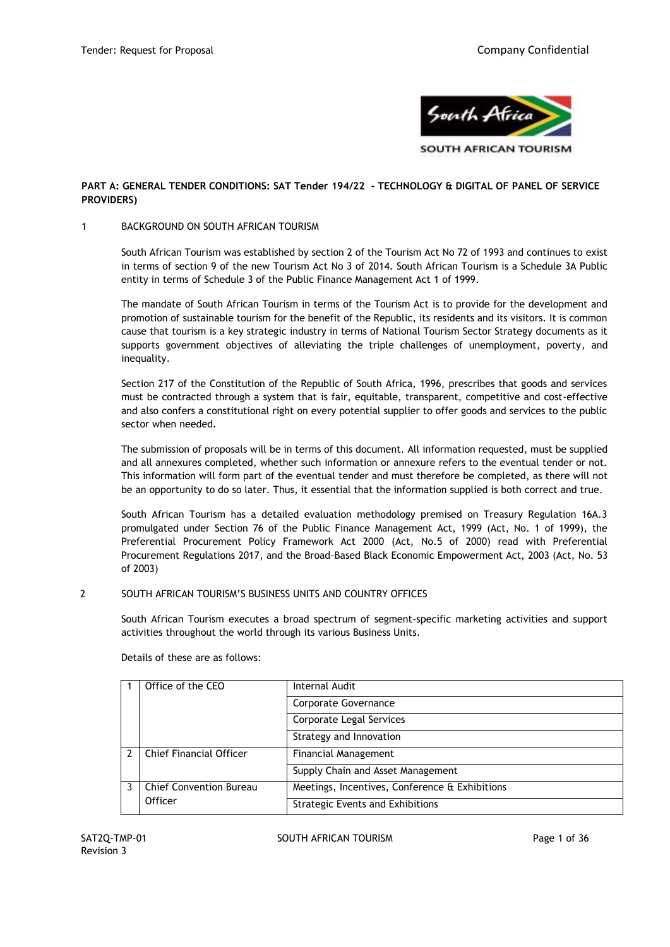

## **PART A: GENERAL TENDER CONDITIONS: SAT Tender 194/22 - TECHNOLOGY & DIGITAL OF PANEL OF SERVICE PROVIDERS)**

## 1 BACKGROUND ON SOUTH AFRICAN TOURISM

South African Tourism was established by section 2 of the Tourism Act No 72 of 1993 and continues to exist in terms of section 9 of the new Tourism Act No 3 of 2014. South African Tourism is a Schedule 3A Public entity in terms of Schedule 3 of the Public Finance Management Act 1 of 1999.

The mandate of South African Tourism in terms of the Tourism Act is to provide for the development and promotion of sustainable tourism for the benefit of the Republic, its residents and its visitors. It is common cause that tourism is a key strategic industry in terms of National Tourism Sector Strategy documents as it supports government objectives of alleviating the triple challenges of unemployment, poverty, and inequality.

Section 217 of the Constitution of the Republic of South Africa, 1996, prescribes that goods and services must be contracted through a system that is fair, equitable, transparent, competitive and cost-effective and also confers a constitutional right on every potential supplier to offer goods and services to the public sector when needed.

The submission of proposals will be in terms of this document. All information requested, must be supplied and all annexures completed, whether such information or annexure refers to the eventual tender or not. This information will form part of the eventual tender and must therefore be completed, as there will not be an opportunity to do so later. Thus, it essential that the information supplied is both correct and true.

South African Tourism has a detailed evaluation methodology premised on Treasury Regulation 16A.3 promulgated under Section 76 of the Public Finance Management Act, 1999 (Act, No. 1 of 1999), the Preferential Procurement Policy Framework Act 2000 (Act, No.5 of 2000) read with Preferential Procurement Regulations 2017, and the Broad-Based Black Economic Empowerment Act, 2003 (Act, No. 53 of 2003)

## 2 SOUTH AFRICAN TOURISM'S BUSINESS UNITS AND COUNTRY OFFICES

South African Tourism executes a broad spectrum of segment-specific marketing activities and support activities throughout the world through its various Business Units.

Details of these are as follows:

|              | Office of the CEO              | Internal Audit                                 |
|--------------|--------------------------------|------------------------------------------------|
|              |                                | <b>Corporate Governance</b>                    |
|              |                                | Corporate Legal Services                       |
|              |                                | Strategy and Innovation                        |
| <sup>2</sup> | Chief Financial Officer        | <b>Financial Management</b>                    |
|              |                                | Supply Chain and Asset Management              |
|              | <b>Chief Convention Bureau</b> | Meetings, Incentives, Conference & Exhibitions |
|              | Officer                        | <b>Strategic Events and Exhibitions</b>        |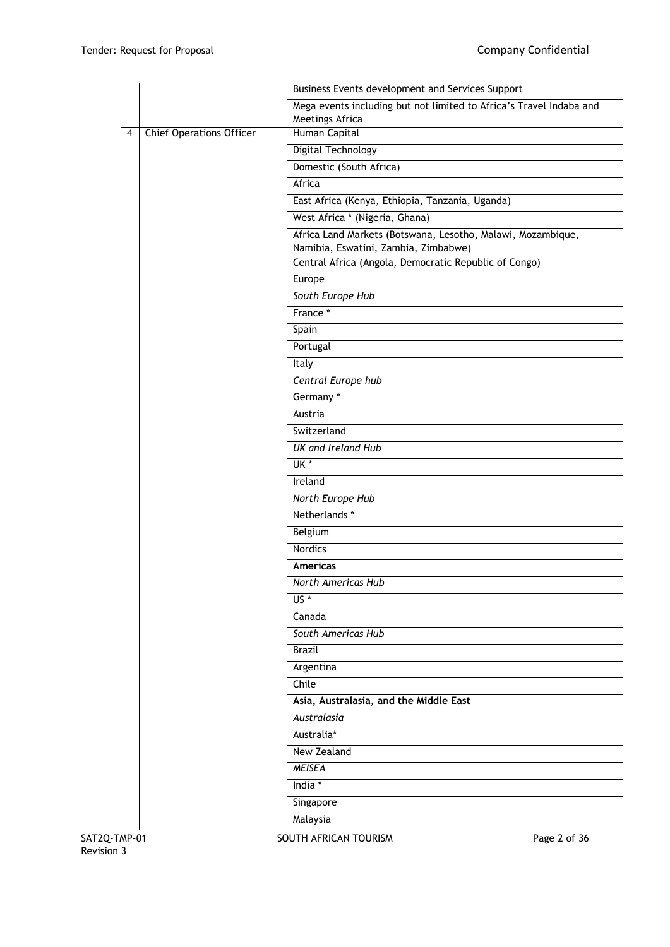|              |                                 | Business Events development and Services Support                                       |              |
|--------------|---------------------------------|----------------------------------------------------------------------------------------|--------------|
|              |                                 | Mega events including but not limited to Africa's Travel Indaba and<br>Meetings Africa |              |
| 4            | <b>Chief Operations Officer</b> | Human Capital                                                                          |              |
|              |                                 | <b>Digital Technology</b>                                                              |              |
|              |                                 | Domestic (South Africa)                                                                |              |
|              |                                 | Africa                                                                                 |              |
|              |                                 | East Africa (Kenya, Ethiopia, Tanzania, Uganda)                                        |              |
|              |                                 | West Africa * (Nigeria, Ghana)                                                         |              |
|              |                                 | Africa Land Markets (Botswana, Lesotho, Malawi, Mozambique,                            |              |
|              |                                 | Namibia, Eswatini, Zambia, Zimbabwe)                                                   |              |
|              |                                 | Central Africa (Angola, Democratic Republic of Congo)                                  |              |
|              |                                 | Europe                                                                                 |              |
|              |                                 | South Europe Hub                                                                       |              |
|              |                                 | France *                                                                               |              |
|              |                                 | Spain                                                                                  |              |
|              |                                 | Portugal                                                                               |              |
|              |                                 | Italy                                                                                  |              |
|              |                                 | Central Europe hub                                                                     |              |
|              |                                 | Germany*                                                                               |              |
|              |                                 | Austria                                                                                |              |
|              |                                 | Switzerland                                                                            |              |
|              |                                 | <b>UK</b> and Ireland Hub                                                              |              |
|              |                                 | $\overline{\mathsf{UK}^*}$                                                             |              |
|              |                                 | Ireland                                                                                |              |
|              |                                 | North Europe Hub                                                                       |              |
|              |                                 | Netherlands *                                                                          |              |
|              |                                 | Belgium                                                                                |              |
|              |                                 | <b>Nordics</b>                                                                         |              |
|              |                                 | Americas                                                                               |              |
|              |                                 | North Americas Hub                                                                     |              |
|              |                                 | $US^*$                                                                                 |              |
|              |                                 | Canada                                                                                 |              |
|              |                                 | South Americas Hub                                                                     |              |
|              |                                 | <b>Brazil</b>                                                                          |              |
|              |                                 | Argentina                                                                              |              |
|              |                                 | Chile                                                                                  |              |
|              |                                 | Asia, Australasia, and the Middle East                                                 |              |
|              |                                 | Australasia                                                                            |              |
|              |                                 | Australia*                                                                             |              |
|              |                                 | New Zealand                                                                            |              |
|              |                                 | <b>MEISEA</b>                                                                          |              |
|              |                                 | India *                                                                                |              |
|              |                                 | Singapore                                                                              |              |
|              |                                 | Malaysia                                                                               |              |
|              |                                 |                                                                                        |              |
| SAT2Q-TMP-01 |                                 | SOUTH AFRICAN TOURISM                                                                  | Page 2 of 36 |

Revision 3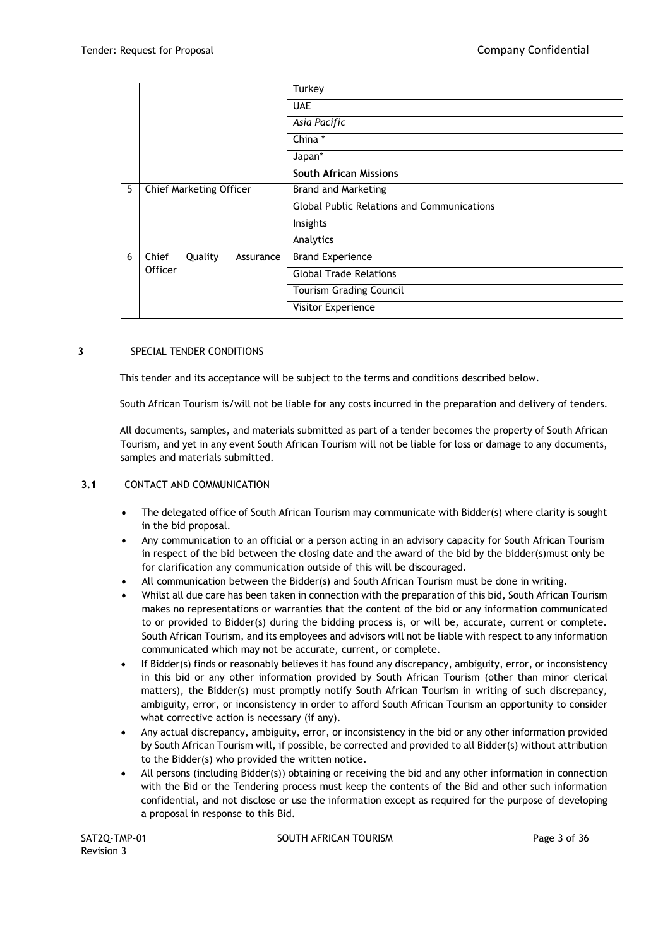|   |                               | Turkey                                            |
|---|-------------------------------|---------------------------------------------------|
|   |                               | <b>UAE</b>                                        |
|   |                               | Asia Pacific                                      |
|   |                               | China *                                           |
|   |                               | Japan*                                            |
|   |                               | <b>South African Missions</b>                     |
| 5 | Chief Marketing Officer       | <b>Brand and Marketing</b>                        |
|   |                               | <b>Global Public Relations and Communications</b> |
|   |                               | Insights                                          |
|   |                               | Analytics                                         |
| 6 | Chief<br>Quality<br>Assurance | <b>Brand Experience</b>                           |
|   | Officer                       | <b>Global Trade Relations</b>                     |
|   |                               | <b>Tourism Grading Council</b>                    |
|   |                               | Visitor Experience                                |

## **3** SPECIAL TENDER CONDITIONS

This tender and its acceptance will be subject to the terms and conditions described below.

South African Tourism is/will not be liable for any costs incurred in the preparation and delivery of tenders.

All documents, samples, and materials submitted as part of a tender becomes the property of South African Tourism, and yet in any event South African Tourism will not be liable for loss or damage to any documents, samples and materials submitted.

## **3.1** CONTACT AND COMMUNICATION

- The delegated office of South African Tourism may communicate with Bidder(s) where clarity is sought in the bid proposal.
- Any communication to an official or a person acting in an advisory capacity for South African Tourism in respect of the bid between the closing date and the award of the bid by the bidder(s)must only be for clarification any communication outside of this will be discouraged.
- All communication between the Bidder(s) and South African Tourism must be done in writing.
- Whilst all due care has been taken in connection with the preparation of this bid, South African Tourism makes no representations or warranties that the content of the bid or any information communicated to or provided to Bidder(s) during the bidding process is, or will be, accurate, current or complete. South African Tourism, and its employees and advisors will not be liable with respect to any information communicated which may not be accurate, current, or complete.
- If Bidder(s) finds or reasonably believes it has found any discrepancy, ambiguity, error, or inconsistency in this bid or any other information provided by South African Tourism (other than minor clerical matters), the Bidder(s) must promptly notify South African Tourism in writing of such discrepancy, ambiguity, error, or inconsistency in order to afford South African Tourism an opportunity to consider what corrective action is necessary (if any).
- Any actual discrepancy, ambiguity, error, or inconsistency in the bid or any other information provided by South African Tourism will, if possible, be corrected and provided to all Bidder(s) without attribution to the Bidder(s) who provided the written notice.
- All persons (including Bidder(s)) obtaining or receiving the bid and any other information in connection with the Bid or the Tendering process must keep the contents of the Bid and other such information confidential, and not disclose or use the information except as required for the purpose of developing a proposal in response to this Bid.

SAT2Q-TMP-01 SOUTH AFRICAN TOURISM SAT2Q-TMP-01 Page 3 of 36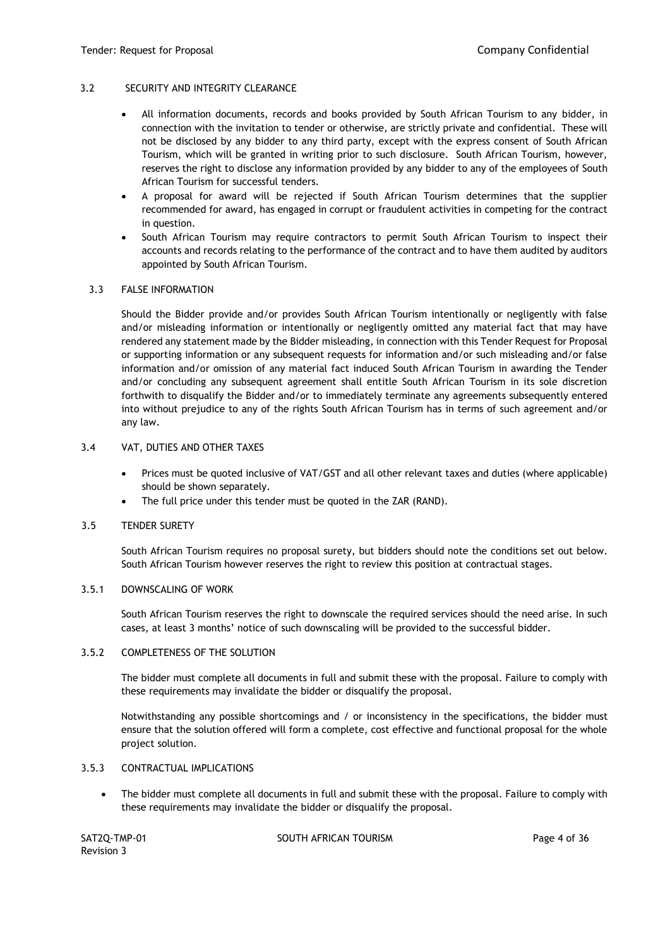### 3.2 SECURITY AND INTEGRITY CLEARANCE

- All information documents, records and books provided by South African Tourism to any bidder, in connection with the invitation to tender or otherwise, are strictly private and confidential. These will not be disclosed by any bidder to any third party, except with the express consent of South African Tourism, which will be granted in writing prior to such disclosure. South African Tourism, however, reserves the right to disclose any information provided by any bidder to any of the employees of South African Tourism for successful tenders.
- A proposal for award will be rejected if South African Tourism determines that the supplier recommended for award, has engaged in corrupt or fraudulent activities in competing for the contract in question.
- South African Tourism may require contractors to permit South African Tourism to inspect their accounts and records relating to the performance of the contract and to have them audited by auditors appointed by South African Tourism.

#### 3.3 FALSE INFORMATION

Should the Bidder provide and/or provides South African Tourism intentionally or negligently with false and/or misleading information or intentionally or negligently omitted any material fact that may have rendered any statement made by the Bidder misleading, in connection with this Tender Request for Proposal or supporting information or any subsequent requests for information and/or such misleading and/or false information and/or omission of any material fact induced South African Tourism in awarding the Tender and/or concluding any subsequent agreement shall entitle South African Tourism in its sole discretion forthwith to disqualify the Bidder and/or to immediately terminate any agreements subsequently entered into without prejudice to any of the rights South African Tourism has in terms of such agreement and/or any law.

#### 3.4 VAT, DUTIES AND OTHER TAXES

- Prices must be quoted inclusive of VAT/GST and all other relevant taxes and duties (where applicable) should be shown separately.
- The full price under this tender must be quoted in the ZAR (RAND).

#### 3.5 TENDER SURETY

South African Tourism requires no proposal surety, but bidders should note the conditions set out below. South African Tourism however reserves the right to review this position at contractual stages.

#### 3.5.1 DOWNSCALING OF WORK

South African Tourism reserves the right to downscale the required services should the need arise. In such cases, at least 3 months' notice of such downscaling will be provided to the successful bidder.

#### 3.5.2 COMPLETENESS OF THE SOLUTION

The bidder must complete all documents in full and submit these with the proposal. Failure to comply with these requirements may invalidate the bidder or disqualify the proposal.

Notwithstanding any possible shortcomings and / or inconsistency in the specifications, the bidder must ensure that the solution offered will form a complete, cost effective and functional proposal for the whole project solution.

#### 3.5.3 CONTRACTUAL IMPLICATIONS

• The bidder must complete all documents in full and submit these with the proposal. Failure to comply with these requirements may invalidate the bidder or disqualify the proposal.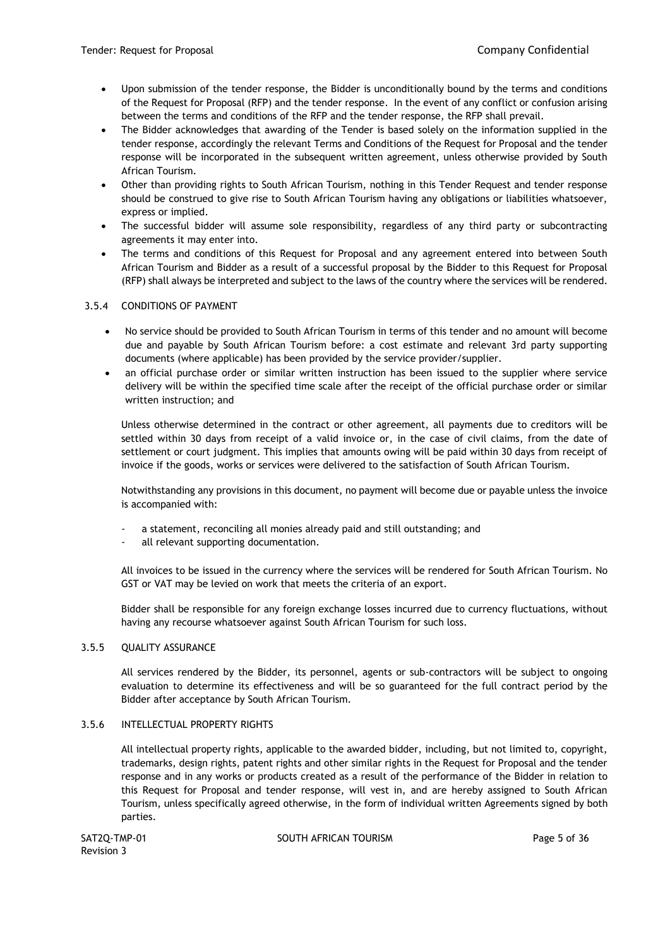- Upon submission of the tender response, the Bidder is unconditionally bound by the terms and conditions of the Request for Proposal (RFP) and the tender response. In the event of any conflict or confusion arising between the terms and conditions of the RFP and the tender response, the RFP shall prevail.
- The Bidder acknowledges that awarding of the Tender is based solely on the information supplied in the tender response, accordingly the relevant Terms and Conditions of the Request for Proposal and the tender response will be incorporated in the subsequent written agreement, unless otherwise provided by South African Tourism.
- Other than providing rights to South African Tourism, nothing in this Tender Request and tender response should be construed to give rise to South African Tourism having any obligations or liabilities whatsoever, express or implied.
- The successful bidder will assume sole responsibility, regardless of any third party or subcontracting agreements it may enter into.
- The terms and conditions of this Request for Proposal and any agreement entered into between South African Tourism and Bidder as a result of a successful proposal by the Bidder to this Request for Proposal (RFP) shall always be interpreted and subject to the laws of the country where the services will be rendered.

# 3.5.4 CONDITIONS OF PAYMENT

- No service should be provided to South African Tourism in terms of this tender and no amount will become due and payable by South African Tourism before: a cost estimate and relevant 3rd party supporting documents (where applicable) has been provided by the service provider/supplier.
- an official purchase order or similar written instruction has been issued to the supplier where service delivery will be within the specified time scale after the receipt of the official purchase order or similar written instruction; and

Unless otherwise determined in the contract or other agreement, all payments due to creditors will be settled within 30 days from receipt of a valid invoice or, in the case of civil claims, from the date of settlement or court judgment. This implies that amounts owing will be paid within 30 days from receipt of invoice if the goods, works or services were delivered to the satisfaction of South African Tourism.

Notwithstanding any provisions in this document, no payment will become due or payable unless the invoice is accompanied with:

- a statement, reconciling all monies already paid and still outstanding; and
- all relevant supporting documentation.

All invoices to be issued in the currency where the services will be rendered for South African Tourism. No GST or VAT may be levied on work that meets the criteria of an export.

Bidder shall be responsible for any foreign exchange losses incurred due to currency fluctuations, without having any recourse whatsoever against South African Tourism for such loss.

## 3.5.5 QUALITY ASSURANCE

All services rendered by the Bidder, its personnel, agents or sub-contractors will be subject to ongoing evaluation to determine its effectiveness and will be so guaranteed for the full contract period by the Bidder after acceptance by South African Tourism.

## 3.5.6 INTELLECTUAL PROPERTY RIGHTS

All intellectual property rights, applicable to the awarded bidder, including, but not limited to, copyright, trademarks, design rights, patent rights and other similar rights in the Request for Proposal and the tender response and in any works or products created as a result of the performance of the Bidder in relation to this Request for Proposal and tender response, will vest in, and are hereby assigned to South African Tourism, unless specifically agreed otherwise, in the form of individual written Agreements signed by both parties.

Revision 3

SAT2Q-TMP-01 SOUTH AFRICAN TOURISM SAT2Q-TMP-01 Page 5 of 36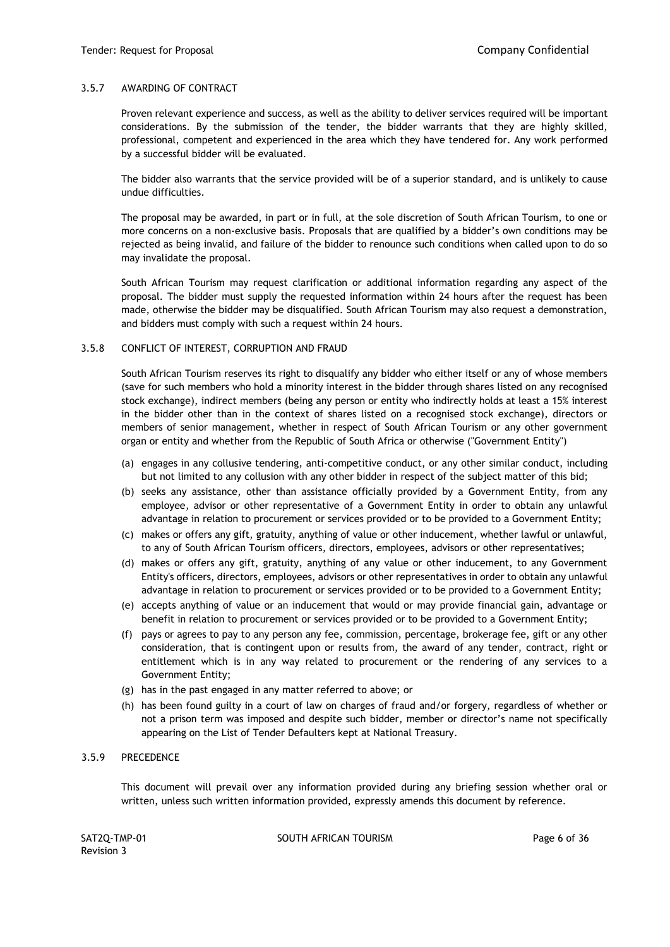### 3.5.7 AWARDING OF CONTRACT

Proven relevant experience and success, as well as the ability to deliver services required will be important considerations. By the submission of the tender, the bidder warrants that they are highly skilled, professional, competent and experienced in the area which they have tendered for. Any work performed by a successful bidder will be evaluated.

The bidder also warrants that the service provided will be of a superior standard, and is unlikely to cause undue difficulties.

The proposal may be awarded, in part or in full, at the sole discretion of South African Tourism, to one or more concerns on a non-exclusive basis. Proposals that are qualified by a bidder's own conditions may be rejected as being invalid, and failure of the bidder to renounce such conditions when called upon to do so may invalidate the proposal.

South African Tourism may request clarification or additional information regarding any aspect of the proposal. The bidder must supply the requested information within 24 hours after the request has been made, otherwise the bidder may be disqualified. South African Tourism may also request a demonstration, and bidders must comply with such a request within 24 hours.

#### 3.5.8 CONFLICT OF INTEREST, CORRUPTION AND FRAUD

South African Tourism reserves its right to disqualify any bidder who either itself or any of whose members (save for such members who hold a minority interest in the bidder through shares listed on any recognised stock exchange), indirect members (being any person or entity who indirectly holds at least a 15% interest in the bidder other than in the context of shares listed on a recognised stock exchange), directors or members of senior management, whether in respect of South African Tourism or any other government organ or entity and whether from the Republic of South Africa or otherwise ("Government Entity")

- (a) engages in any collusive tendering, anti-competitive conduct, or any other similar conduct, including but not limited to any collusion with any other bidder in respect of the subject matter of this bid;
- (b) seeks any assistance, other than assistance officially provided by a Government Entity, from any employee, advisor or other representative of a Government Entity in order to obtain any unlawful advantage in relation to procurement or services provided or to be provided to a Government Entity;
- (c) makes or offers any gift, gratuity, anything of value or other inducement, whether lawful or unlawful, to any of South African Tourism officers, directors, employees, advisors or other representatives;
- (d) makes or offers any gift, gratuity, anything of any value or other inducement, to any Government Entity's officers, directors, employees, advisors or other representatives in order to obtain any unlawful advantage in relation to procurement or services provided or to be provided to a Government Entity;
- (e) accepts anything of value or an inducement that would or may provide financial gain, advantage or benefit in relation to procurement or services provided or to be provided to a Government Entity;
- (f) pays or agrees to pay to any person any fee, commission, percentage, brokerage fee, gift or any other consideration, that is contingent upon or results from, the award of any tender, contract, right or entitlement which is in any way related to procurement or the rendering of any services to a Government Entity;
- (g) has in the past engaged in any matter referred to above; or
- (h) has been found guilty in a court of law on charges of fraud and/or forgery, regardless of whether or not a prison term was imposed and despite such bidder, member or director's name not specifically appearing on the List of Tender Defaulters kept at National Treasury.

## 3.5.9 PRECEDENCE

This document will prevail over any information provided during any briefing session whether oral or written, unless such written information provided, expressly amends this document by reference.

SAT2Q-TMP-01 SOUTH AFRICAN TOURISM SAT2Q-TMP-01 Page 6 of 36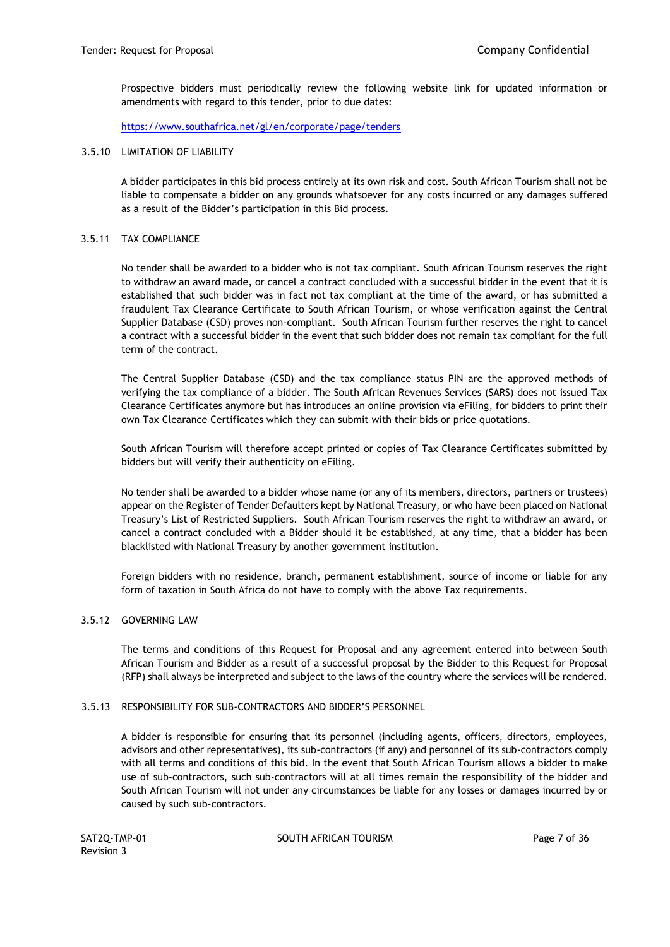Prospective bidders must periodically review the following website link [f](https://www.southafrica.net/gl/en/corporate/page/tenders)or updated information or amendments with regard to this tender, prior to due dates:

<https://www.southafrica.net/gl/en/corporate/page/tenders>

#### 3.5.10 LIMITATION OF LIABILITY

A bidder participates in this bid process entirely at its own risk and cost. South African Tourism shall not be liable to compensate a bidder on any grounds whatsoever for any costs incurred or any damages suffered as a result of the Bidder's participation in this Bid process.

### 3.5.11 TAX COMPLIANCE

No tender shall be awarded to a bidder who is not tax compliant. South African Tourism reserves the right to withdraw an award made, or cancel a contract concluded with a successful bidder in the event that it is established that such bidder was in fact not tax compliant at the time of the award, or has submitted a fraudulent Tax Clearance Certificate to South African Tourism, or whose verification against the Central Supplier Database (CSD) proves non-compliant. South African Tourism further reserves the right to cancel a contract with a successful bidder in the event that such bidder does not remain tax compliant for the full term of the contract.

The Central Supplier Database (CSD) and the tax compliance status PIN are the approved methods of verifying the tax compliance of a bidder. The South African Revenues Services (SARS) does not issued Tax Clearance Certificates anymore but has introduces an online provision via eFiling, for bidders to print their own Tax Clearance Certificates which they can submit with their bids or price quotations.

South African Tourism will therefore accept printed or copies of Tax Clearance Certificates submitted by bidders but will verify their authenticity on eFiling.

No tender shall be awarded to a bidder whose name (or any of its members, directors, partners or trustees) appear on the Register of Tender Defaulters kept by National Treasury, or who have been placed on National Treasury's List of Restricted Suppliers. South African Tourism reserves the right to withdraw an award, or cancel a contract concluded with a Bidder should it be established, at any time, that a bidder has been blacklisted with National Treasury by another government institution.

Foreign bidders with no residence, branch, permanent establishment, source of income or liable for any form of taxation in South Africa do not have to comply with the above Tax requirements.

#### 3.5.12 GOVERNING LAW

The terms and conditions of this Request for Proposal and any agreement entered into between South African Tourism and Bidder as a result of a successful proposal by the Bidder to this Request for Proposal (RFP) shall always be interpreted and subject to the laws of the country where the services will be rendered.

#### 3.5.13 RESPONSIBILITY FOR SUB-CONTRACTORS AND BIDDER'S PERSONNEL

A bidder is responsible for ensuring that its personnel (including agents, officers, directors, employees, advisors and other representatives), its sub-contractors (if any) and personnel of its sub-contractors comply with all terms and conditions of this bid. In the event that South African Tourism allows a bidder to make use of sub-contractors, such sub-contractors will at all times remain the responsibility of the bidder and South African Tourism will not under any circumstances be liable for any losses or damages incurred by or caused by such sub-contractors.

SAT2Q-TMP-01 SOUTH AFRICAN TOURISM SAT2Q-TMP-01 Page 7 of 36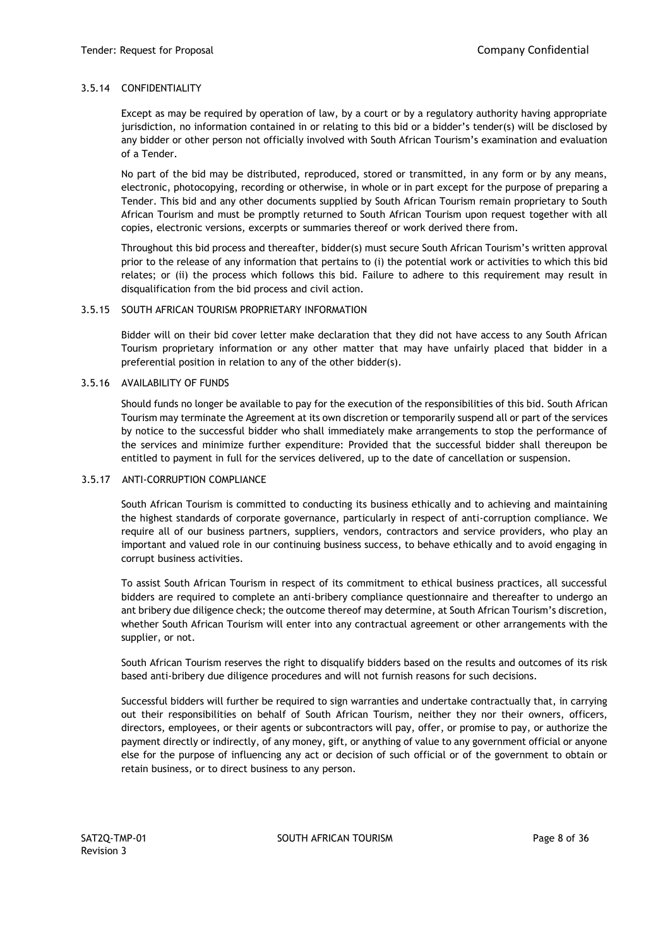# 3.5.14 CONFIDENTIALITY

Except as may be required by operation of law, by a court or by a regulatory authority having appropriate jurisdiction, no information contained in or relating to this bid or a bidder's tender(s) will be disclosed by any bidder or other person not officially involved with South African Tourism's examination and evaluation of a Tender.

No part of the bid may be distributed, reproduced, stored or transmitted, in any form or by any means, electronic, photocopying, recording or otherwise, in whole or in part except for the purpose of preparing a Tender. This bid and any other documents supplied by South African Tourism remain proprietary to South African Tourism and must be promptly returned to South African Tourism upon request together with all copies, electronic versions, excerpts or summaries thereof or work derived there from.

Throughout this bid process and thereafter, bidder(s) must secure South African Tourism's written approval prior to the release of any information that pertains to (i) the potential work or activities to which this bid relates; or (ii) the process which follows this bid. Failure to adhere to this requirement may result in disqualification from the bid process and civil action.

## 3.5.15 SOUTH AFRICAN TOURISM PROPRIETARY INFORMATION

Bidder will on their bid cover letter make declaration that they did not have access to any South African Tourism proprietary information or any other matter that may have unfairly placed that bidder in a preferential position in relation to any of the other bidder(s).

## 3.5.16 AVAILABILITY OF FUNDS

Should funds no longer be available to pay for the execution of the responsibilities of this bid. South African Tourism may terminate the Agreement at its own discretion or temporarily suspend all or part of the services by notice to the successful bidder who shall immediately make arrangements to stop the performance of the services and minimize further expenditure: Provided that the successful bidder shall thereupon be entitled to payment in full for the services delivered, up to the date of cancellation or suspension.

#### 3.5.17 ANTI-CORRUPTION COMPLIANCE

South African Tourism is committed to conducting its business ethically and to achieving and maintaining the highest standards of corporate governance, particularly in respect of anti-corruption compliance. We require all of our business partners, suppliers, vendors, contractors and service providers, who play an important and valued role in our continuing business success, to behave ethically and to avoid engaging in corrupt business activities.

To assist South African Tourism in respect of its commitment to ethical business practices, all successful bidders are required to complete an anti-bribery compliance questionnaire and thereafter to undergo an ant bribery due diligence check; the outcome thereof may determine, at South African Tourism's discretion, whether South African Tourism will enter into any contractual agreement or other arrangements with the supplier, or not.

South African Tourism reserves the right to disqualify bidders based on the results and outcomes of its risk based anti-bribery due diligence procedures and will not furnish reasons for such decisions.

Successful bidders will further be required to sign warranties and undertake contractually that, in carrying out their responsibilities on behalf of South African Tourism, neither they nor their owners, officers, directors, employees, or their agents or subcontractors will pay, offer, or promise to pay, or authorize the payment directly or indirectly, of any money, gift, or anything of value to any government official or anyone else for the purpose of influencing any act or decision of such official or of the government to obtain or retain business, or to direct business to any person.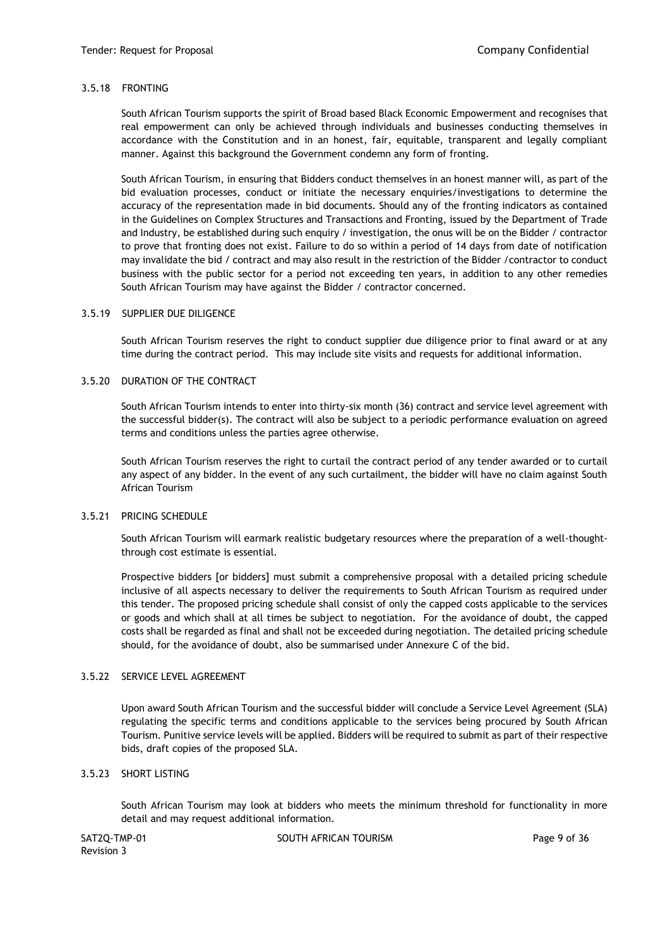### 3.5.18 FRONTING

South African Tourism supports the spirit of Broad based Black Economic Empowerment and recognises that real empowerment can only be achieved through individuals and businesses conducting themselves in accordance with the Constitution and in an honest, fair, equitable, transparent and legally compliant manner. Against this background the Government condemn any form of fronting.

South African Tourism, in ensuring that Bidders conduct themselves in an honest manner will, as part of the bid evaluation processes, conduct or initiate the necessary enquiries/investigations to determine the accuracy of the representation made in bid documents. Should any of the fronting indicators as contained in the Guidelines on Complex Structures and Transactions and Fronting, issued by the Department of Trade and Industry, be established during such enquiry / investigation, the onus will be on the Bidder / contractor to prove that fronting does not exist. Failure to do so within a period of 14 days from date of notification may invalidate the bid / contract and may also result in the restriction of the Bidder /contractor to conduct business with the public sector for a period not exceeding ten years, in addition to any other remedies South African Tourism may have against the Bidder / contractor concerned.

#### 3.5.19 SUPPLIER DUE DILIGENCE

South African Tourism reserves the right to conduct supplier due diligence prior to final award or at any time during the contract period. This may include site visits and requests for additional information.

#### 3.5.20 DURATION OF THE CONTRACT

South African Tourism intends to enter into thirty-six month (36) contract and service level agreement with the successful bidder(s). The contract will also be subject to a periodic performance evaluation on agreed terms and conditions unless the parties agree otherwise.

South African Tourism reserves the right to curtail the contract period of any tender awarded or to curtail any aspect of any bidder. In the event of any such curtailment, the bidder will have no claim against South African Tourism

#### 3.5.21 PRICING SCHEDULE

South African Tourism will earmark realistic budgetary resources where the preparation of a well-thoughtthrough cost estimate is essential.

Prospective bidders [or bidders] must submit a comprehensive proposal with a detailed pricing schedule inclusive of all aspects necessary to deliver the requirements to South African Tourism as required under this tender. The proposed pricing schedule shall consist of only the capped costs applicable to the services or goods and which shall at all times be subject to negotiation. For the avoidance of doubt, the capped costs shall be regarded as final and shall not be exceeded during negotiation. The detailed pricing schedule should, for the avoidance of doubt, also be summarised under Annexure C of the bid.

## 3.5.22 SERVICE LEVEL AGREEMENT

Upon award South African Tourism and the successful bidder will conclude a Service Level Agreement (SLA) regulating the specific terms and conditions applicable to the services being procured by South African Tourism. Punitive service levels will be applied. Bidders will be required to submit as part of their respective bids, draft copies of the proposed SLA.

# 3.5.23 SHORT LISTING

South African Tourism may look at bidders who meets the minimum threshold for functionality in more detail and may request additional information.

Revision 3

SAT2Q-TMP-01 SOUTH AFRICAN TOURISM SAT2Q-TMP-01 Page 9 of 36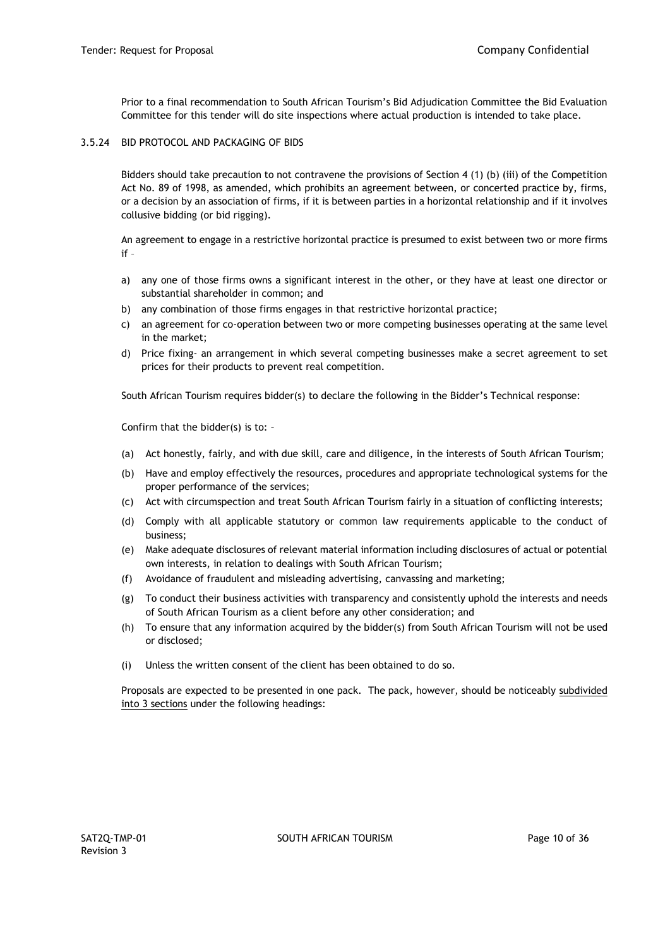Prior to a final recommendation to South African Tourism's Bid Adjudication Committee the Bid Evaluation Committee for this tender will do site inspections where actual production is intended to take place.

3.5.24 BID PROTOCOL AND PACKAGING OF BIDS

Bidders should take precaution to not contravene the provisions of Section 4 (1) (b) (iii) of the Competition Act No. 89 of 1998, as amended, which prohibits an agreement between, or concerted practice by, firms, or a decision by an association of firms, if it is between parties in a horizontal relationship and if it involves collusive bidding (or bid rigging).

An agreement to engage in a restrictive horizontal practice is presumed to exist between two or more firms if –

- a) any one of those firms owns a significant interest in the other, or they have at least one director or substantial shareholder in common; and
- b) any combination of those firms engages in that restrictive horizontal practice;
- c) an agreement for co-operation between two or more competing businesses operating at the same level in the market;
- d) Price fixing- an arrangement in which several competing businesses make a secret agreement to set prices for their products to prevent real competition.

South African Tourism requires bidder(s) to declare the following in the Bidder's Technical response:

Confirm that the bidder(s) is to: –

- (a) Act honestly, fairly, and with due skill, care and diligence, in the interests of South African Tourism;
- (b) Have and employ effectively the resources, procedures and appropriate technological systems for the proper performance of the services;
- (c) Act with circumspection and treat South African Tourism fairly in a situation of conflicting interests;
- (d) Comply with all applicable statutory or common law requirements applicable to the conduct of business;
- (e) Make adequate disclosures of relevant material information including disclosures of actual or potential own interests, in relation to dealings with South African Tourism;
- (f) Avoidance of fraudulent and misleading advertising, canvassing and marketing;
- (g) To conduct their business activities with transparency and consistently uphold the interests and needs of South African Tourism as a client before any other consideration; and
- (h) To ensure that any information acquired by the bidder(s) from South African Tourism will not be used or disclosed;
- (i) Unless the written consent of the client has been obtained to do so.

Proposals are expected to be presented in one pack. The pack, however, should be noticeably subdivided into 3 sections under the following headings: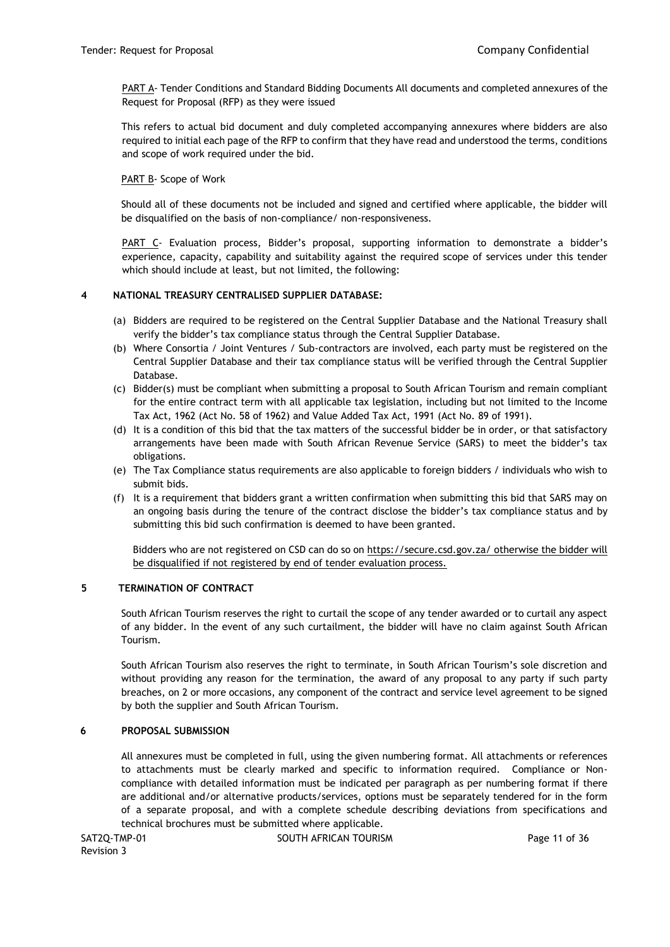PART A- Tender Conditions and Standard Bidding Documents All documents and completed annexures of the Request for Proposal (RFP) as they were issued

This refers to actual bid document and duly completed accompanying annexures where bidders are also required to initial each page of the RFP to confirm that they have read and understood the terms, conditions and scope of work required under the bid.

PART B- Scope of Work

Should all of these documents not be included and signed and certified where applicable, the bidder will be disqualified on the basis of non-compliance/ non-responsiveness.

PART C- Evaluation process, Bidder's proposal, supporting information to demonstrate a bidder's experience, capacity, capability and suitability against the required scope of services under this tender which should include at least, but not limited, the following:

# **4 NATIONAL TREASURY CENTRALISED SUPPLIER DATABASE:**

- (a) Bidders are required to be registered on the Central Supplier Database and the National Treasury shall verify the bidder's tax compliance status through the Central Supplier Database.
- (b) Where Consortia / Joint Ventures / Sub-contractors are involved, each party must be registered on the Central Supplier Database and their tax compliance status will be verified through the Central Supplier Database.
- (c) Bidder(s) must be compliant when submitting a proposal to South African Tourism and remain compliant for the entire contract term with all applicable tax legislation, including but not limited to the Income Tax Act, 1962 (Act No. 58 of 1962) and Value Added Tax Act, 1991 (Act No. 89 of 1991).
- (d) It is a condition of this bid that the tax matters of the successful bidder be in order, or that satisfactory arrangements have been made with South African Revenue Service (SARS) to meet the bidder's tax obligations.
- (e) The Tax Compliance status requirements are also applicable to foreign bidders / individuals who wish to submit bids.
- (f) It is a requirement that bidders grant a written confirmation when submitting this bid that SARS may on an ongoing basis during the tenure of the contract disclose the bidder's tax compliance status and by submitting this bid such confirmation is deemed to have been granted.

Bidders who are not registered on CSD can do so on<https://secure.csd.gov.za/> otherwise the bidder will be disqualified if not registered by end of tender evaluation process[.](https://secure.csd.gov.za/)

## **5 TERMINATION OF CONTRACT**

South African Tourism reserves the right to curtail the scope of any tender awarded or to curtail any aspect of any bidder. In the event of any such curtailment, the bidder will have no claim against South African Tourism.

South African Tourism also reserves the right to terminate, in South African Tourism's sole discretion and without providing any reason for the termination, the award of any proposal to any party if such party breaches, on 2 or more occasions, any component of the contract and service level agreement to be signed by both the supplier and South African Tourism.

## **6 PROPOSAL SUBMISSION**

All annexures must be completed in full, using the given numbering format. All attachments or references to attachments must be clearly marked and specific to information required. Compliance or Noncompliance with detailed information must be indicated per paragraph as per numbering format if there are additional and/or alternative products/services, options must be separately tendered for in the form of a separate proposal, and with a complete schedule describing deviations from specifications and technical brochures must be submitted where applicable.

Revision 3

SAT2Q-TMP-01 SOUTH AFRICAN TOURISM SAT2Q-TMP-01 Page 11 of 36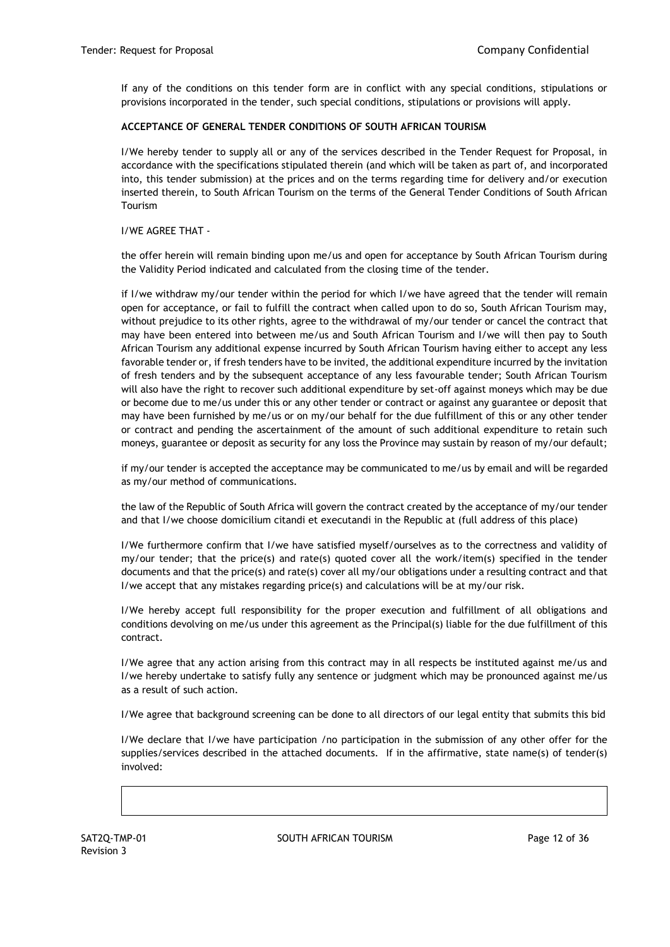If any of the conditions on this tender form are in conflict with any special conditions, stipulations or provisions incorporated in the tender, such special conditions, stipulations or provisions will apply.

# **ACCEPTANCE OF GENERAL TENDER CONDITIONS OF SOUTH AFRICAN TOURISM**

I/We hereby tender to supply all or any of the services described in the Tender Request for Proposal, in accordance with the specifications stipulated therein (and which will be taken as part of, and incorporated into, this tender submission) at the prices and on the terms regarding time for delivery and/or execution inserted therein, to South African Tourism on the terms of the General Tender Conditions of South African Tourism

## I/WE AGREE THAT -

the offer herein will remain binding upon me/us and open for acceptance by South African Tourism during the Validity Period indicated and calculated from the closing time of the tender.

if I/we withdraw my/our tender within the period for which I/we have agreed that the tender will remain open for acceptance, or fail to fulfill the contract when called upon to do so, South African Tourism may, without prejudice to its other rights, agree to the withdrawal of my/our tender or cancel the contract that may have been entered into between me/us and South African Tourism and I/we will then pay to South African Tourism any additional expense incurred by South African Tourism having either to accept any less favorable tender or, if fresh tenders have to be invited, the additional expenditure incurred by the invitation of fresh tenders and by the subsequent acceptance of any less favourable tender; South African Tourism will also have the right to recover such additional expenditure by set-off against moneys which may be due or become due to me/us under this or any other tender or contract or against any guarantee or deposit that may have been furnished by me/us or on my/our behalf for the due fulfillment of this or any other tender or contract and pending the ascertainment of the amount of such additional expenditure to retain such moneys, guarantee or deposit as security for any loss the Province may sustain by reason of my/our default;

if my/our tender is accepted the acceptance may be communicated to me/us by email and will be regarded as my/our method of communications.

the law of the Republic of South Africa will govern the contract created by the acceptance of my/our tender and that I/we choose domicilium citandi et executandi in the Republic at (full address of this place)

I/We furthermore confirm that I/we have satisfied myself/ourselves as to the correctness and validity of my/our tender; that the price(s) and rate(s) quoted cover all the work/item(s) specified in the tender documents and that the price(s) and rate(s) cover all my/our obligations under a resulting contract and that I/we accept that any mistakes regarding price(s) and calculations will be at my/our risk.

I/We hereby accept full responsibility for the proper execution and fulfillment of all obligations and conditions devolving on me/us under this agreement as the Principal(s) liable for the due fulfillment of this contract.

I/We agree that any action arising from this contract may in all respects be instituted against me/us and I/we hereby undertake to satisfy fully any sentence or judgment which may be pronounced against me/us as a result of such action.

I/We agree that background screening can be done to all directors of our legal entity that submits this bid

I/We declare that I/we have participation /no participation in the submission of any other offer for the supplies/services described in the attached documents. If in the affirmative, state name(s) of tender(s) involved: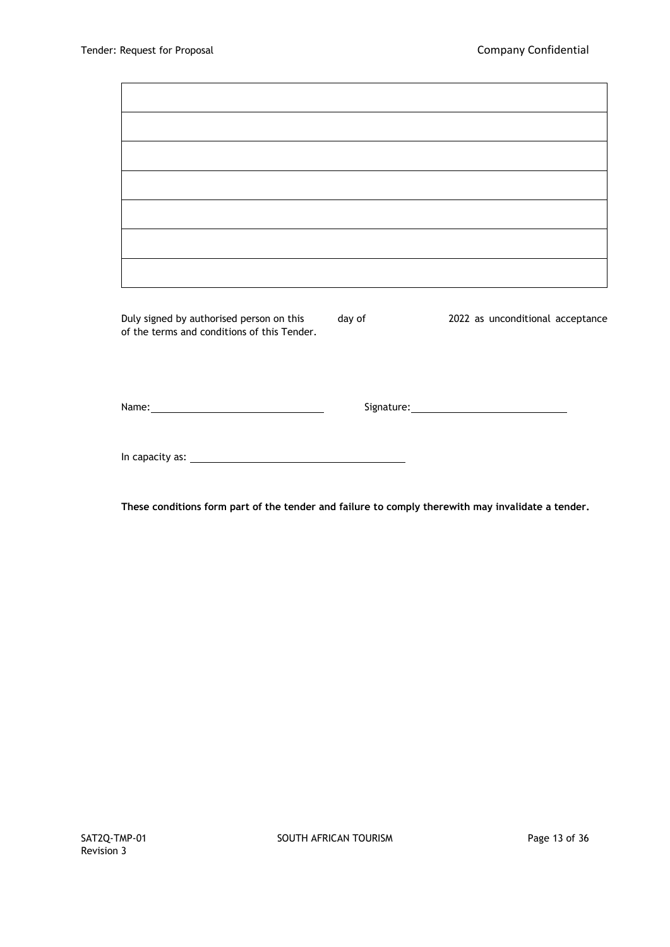$\blacksquare$ 

 $\overline{\phantom{0}}$ 

| ,我们也不会有什么。""我们的人,我们也不会有什么?""我们的人,我们也不会有什么?""我们的人,我们也不会有什么?""我们的人,我们也不会有什么?""我们的人        |        |                                  |
|-----------------------------------------------------------------------------------------|--------|----------------------------------|
| Duly signed by authorised person on this<br>of the terms and conditions of this Tender. | day of | 2022 as unconditional acceptance |
|                                                                                         |        |                                  |
|                                                                                         |        |                                  |
|                                                                                         |        |                                  |
|                                                                                         |        |                                  |

**These conditions form part of the tender and failure to comply therewith may invalidate a tender.**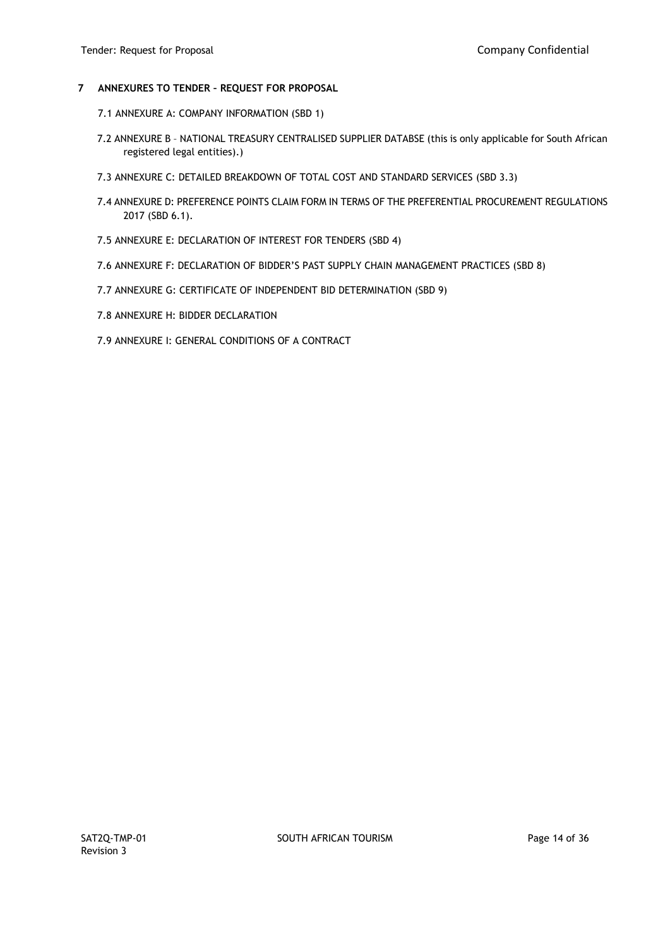# **7 ANNEXURES TO TENDER – REQUEST FOR PROPOSAL**

- 7.1 ANNEXURE A: COMPANY INFORMATION (SBD 1)
- 7.2 ANNEXURE B NATIONAL TREASURY CENTRALISED SUPPLIER DATABSE (this is only applicable for South African registered legal entities).)
- 7.3 ANNEXURE C: DETAILED BREAKDOWN OF TOTAL COST AND STANDARD SERVICES (SBD 3.3)
- 7.4 ANNEXURE D: PREFERENCE POINTS CLAIM FORM IN TERMS OF THE PREFERENTIAL PROCUREMENT REGULATIONS 2017 (SBD 6.1).
- 7.5 ANNEXURE E: DECLARATION OF INTEREST FOR TENDERS (SBD 4)
- 7.6 ANNEXURE F: DECLARATION OF BIDDER'S PAST SUPPLY CHAIN MANAGEMENT PRACTICES (SBD 8)
- 7.7 ANNEXURE G: CERTIFICATE OF INDEPENDENT BID DETERMINATION (SBD 9)
- 7.8 ANNEXURE H: BIDDER DECLARATION
- 7.9 ANNEXURE I: GENERAL CONDITIONS OF A CONTRACT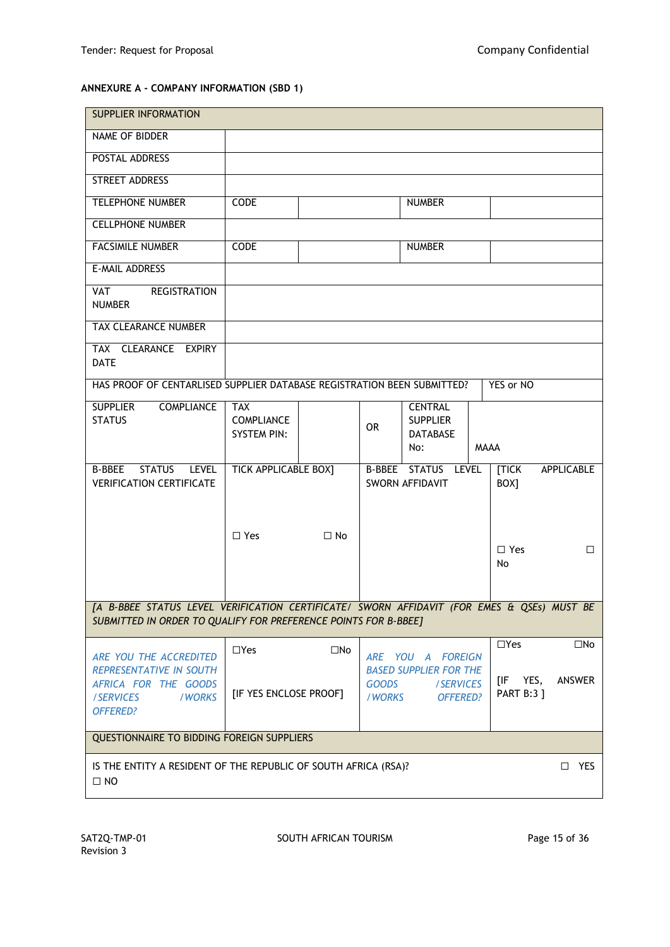# **ANNEXURE A - COMPANY INFORMATION (SBD 1)**

| <b>SUPPLIER INFORMATION</b>                                                                                                                                   |                                                       |              |                         |                                                               |             |                                  |                   |
|---------------------------------------------------------------------------------------------------------------------------------------------------------------|-------------------------------------------------------|--------------|-------------------------|---------------------------------------------------------------|-------------|----------------------------------|-------------------|
| NAME OF BIDDER                                                                                                                                                |                                                       |              |                         |                                                               |             |                                  |                   |
| POSTAL ADDRESS                                                                                                                                                |                                                       |              |                         |                                                               |             |                                  |                   |
| STREET ADDRESS                                                                                                                                                |                                                       |              |                         |                                                               |             |                                  |                   |
| <b>TELEPHONE NUMBER</b>                                                                                                                                       | CODE                                                  |              |                         | <b>NUMBER</b>                                                 |             |                                  |                   |
| <b>CELLPHONE NUMBER</b>                                                                                                                                       |                                                       |              |                         |                                                               |             |                                  |                   |
| <b>FACSIMILE NUMBER</b>                                                                                                                                       | CODE                                                  |              |                         | <b>NUMBER</b>                                                 |             |                                  |                   |
| E-MAIL ADDRESS                                                                                                                                                |                                                       |              |                         |                                                               |             |                                  |                   |
| <b>REGISTRATION</b><br><b>VAT</b><br><b>NUMBER</b>                                                                                                            |                                                       |              |                         |                                                               |             |                                  |                   |
| TAX CLEARANCE NUMBER                                                                                                                                          |                                                       |              |                         |                                                               |             |                                  |                   |
| TAX CLEARANCE EXPIRY<br><b>DATE</b>                                                                                                                           |                                                       |              |                         |                                                               |             |                                  |                   |
| HAS PROOF OF CENTARLISED SUPPLIER DATABASE REGISTRATION BEEN SUBMITTED?                                                                                       |                                                       |              |                         |                                                               |             | YES or NO                        |                   |
| <b>SUPPLIER</b><br><b>COMPLIANCE</b><br><b>STATUS</b>                                                                                                         | <b>TAX</b><br><b>COMPLIANCE</b><br><b>SYSTEM PIN:</b> |              | <b>OR</b>               | <b>CENTRAL</b><br><b>SUPPLIER</b><br><b>DATABASE</b><br>No:   | <b>MAAA</b> |                                  |                   |
| STATUS LEVEL<br><b>B-BBEE</b><br><b>VERIFICATION CERTIFICATE</b>                                                                                              | <b>TICK APPLICABLE BOX]</b>                           |              |                         | B-BBEE STATUS LEVEL<br>SWORN AFFIDAVIT                        |             | <b>TICK</b><br>BOX]              | <b>APPLICABLE</b> |
|                                                                                                                                                               | $\Box$ Yes                                            | $\Box$ No    |                         |                                                               |             | $\Box$ Yes<br>No                 | □                 |
| [A B-BBEE STATUS LEVEL VERIFICATION CERTIFICATE/ SWORN AFFIDAVIT (FOR EMES & QSEs) MUST BE<br>SUBMITTED IN ORDER TO QUALIFY FOR PREFERENCE POINTS FOR B-BBEE] |                                                       |              |                         |                                                               |             |                                  |                   |
| ARE YOU THE ACCREDITED                                                                                                                                        | $\Box$ Yes                                            | $\square$ No |                         | ARE YOU A FOREIGN                                             |             | $\Box$ Yes                       | $\square$ No      |
| <b>REPRESENTATIVE IN SOUTH</b><br>AFRICA FOR THE GOODS<br>/SERVICES<br>/WORKS<br><b>OFFERED?</b>                                                              | [IF YES ENCLOSE PROOF]                                |              | <b>GOODS</b><br>/ WORKS | <b>BASED SUPPLIER FOR THE</b><br>/SERVICES<br><b>OFFERED?</b> |             | YES,<br>[IF<br><b>PART B:3 ]</b> | ANSWER            |
| <b>QUESTIONNAIRE TO BIDDING FOREIGN SUPPLIERS</b>                                                                                                             |                                                       |              |                         |                                                               |             |                                  |                   |
| IS THE ENTITY A RESIDENT OF THE REPUBLIC OF SOUTH AFRICA (RSA)?<br>$\square$ NO                                                                               |                                                       |              |                         |                                                               |             |                                  | $\square$ YES     |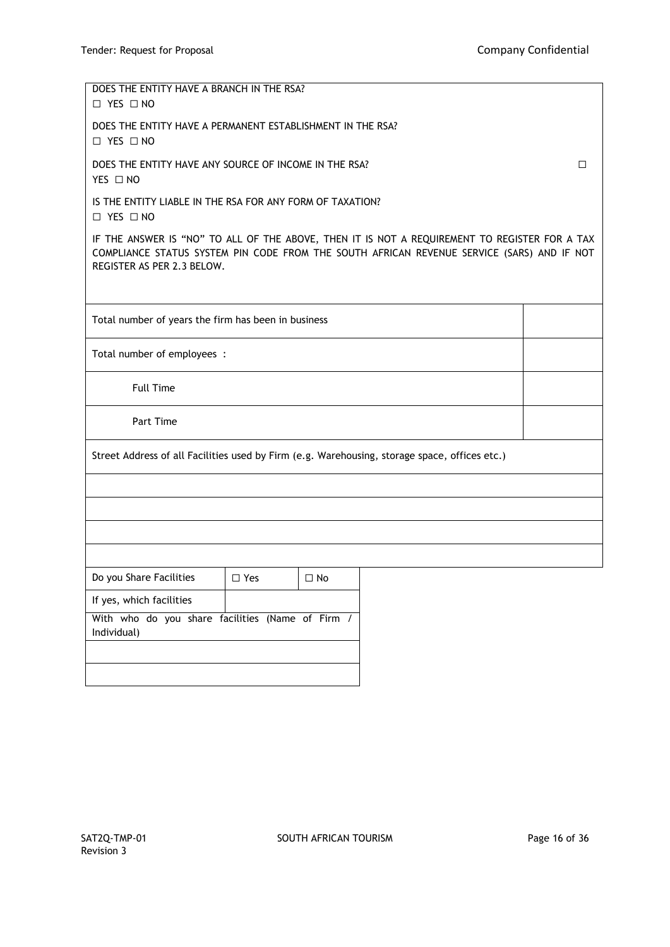| DOES THE ENTITY HAVE A BRANCH IN THE RSA?<br>$\Box$ YES $\Box$ NO                                                                                                                                                         |                                                     |           |  |  |  |  |  |
|---------------------------------------------------------------------------------------------------------------------------------------------------------------------------------------------------------------------------|-----------------------------------------------------|-----------|--|--|--|--|--|
| DOES THE ENTITY HAVE A PERMANENT ESTABLISHMENT IN THE RSA?<br>$\Box$ YES $\Box$ NO                                                                                                                                        |                                                     |           |  |  |  |  |  |
| DOES THE ENTITY HAVE ANY SOURCE OF INCOME IN THE RSA?<br>YES □ NO                                                                                                                                                         |                                                     | П         |  |  |  |  |  |
| IS THE ENTITY LIABLE IN THE RSA FOR ANY FORM OF TAXATION?<br>□ YES □ NO                                                                                                                                                   |                                                     |           |  |  |  |  |  |
| IF THE ANSWER IS "NO" TO ALL OF THE ABOVE, THEN IT IS NOT A REQUIREMENT TO REGISTER FOR A TAX<br>COMPLIANCE STATUS SYSTEM PIN CODE FROM THE SOUTH AFRICAN REVENUE SERVICE (SARS) AND IF NOT<br>REGISTER AS PER 2.3 BELOW. |                                                     |           |  |  |  |  |  |
|                                                                                                                                                                                                                           | Total number of years the firm has been in business |           |  |  |  |  |  |
| Total number of employees :                                                                                                                                                                                               |                                                     |           |  |  |  |  |  |
| <b>Full Time</b>                                                                                                                                                                                                          |                                                     |           |  |  |  |  |  |
| Part Time                                                                                                                                                                                                                 |                                                     |           |  |  |  |  |  |
| Street Address of all Facilities used by Firm (e.g. Warehousing, storage space, offices etc.)                                                                                                                             |                                                     |           |  |  |  |  |  |
|                                                                                                                                                                                                                           |                                                     |           |  |  |  |  |  |
|                                                                                                                                                                                                                           |                                                     |           |  |  |  |  |  |
|                                                                                                                                                                                                                           |                                                     |           |  |  |  |  |  |
|                                                                                                                                                                                                                           |                                                     |           |  |  |  |  |  |
| Do you Share Facilities                                                                                                                                                                                                   | $\Box$ Yes                                          | $\Box$ No |  |  |  |  |  |
| If yes, which facilities                                                                                                                                                                                                  |                                                     |           |  |  |  |  |  |
| With who do you share facilities (Name of Firm /<br>Individual)                                                                                                                                                           |                                                     |           |  |  |  |  |  |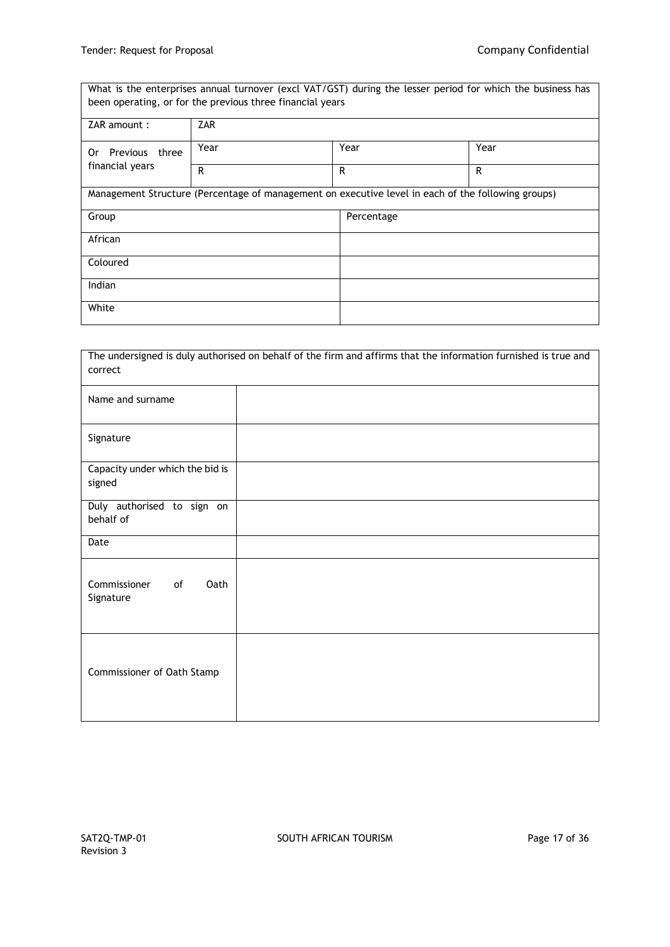What is the enterprises annual turnover (excl VAT/GST) during the lesser period for which the business has been operating, or for the previous three financial years ZAR amount : ZAR Or Previous three financial years Year Pear Pear Network (Year Pear Network) R R R Management Structure (Percentage of management on executive level in each of the following groups) Group Percentage African Coloured Indian White

| The undersigned is duly authorised on behalf of the firm and affirms that the information furnished is true and<br>correct |  |  |  |  |  |  |  |
|----------------------------------------------------------------------------------------------------------------------------|--|--|--|--|--|--|--|
| Name and surname                                                                                                           |  |  |  |  |  |  |  |
| Signature                                                                                                                  |  |  |  |  |  |  |  |
| Capacity under which the bid is<br>signed                                                                                  |  |  |  |  |  |  |  |
| Duly authorised to sign on<br>behalf of                                                                                    |  |  |  |  |  |  |  |
| Date                                                                                                                       |  |  |  |  |  |  |  |
| Commissioner<br>Oath<br>of<br>Signature                                                                                    |  |  |  |  |  |  |  |
| Commissioner of Oath Stamp                                                                                                 |  |  |  |  |  |  |  |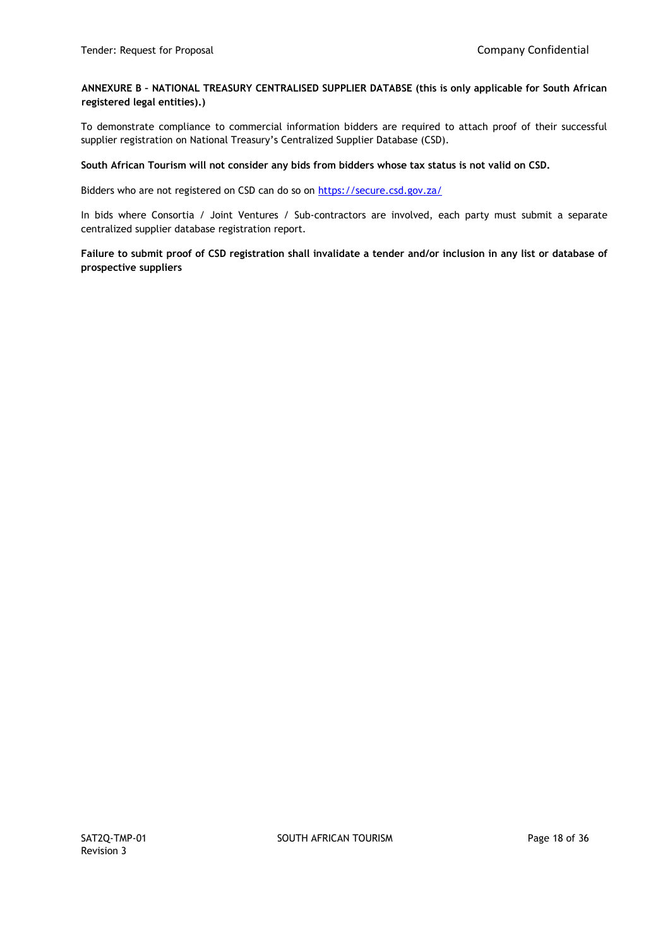**ANNEXURE B – NATIONAL TREASURY CENTRALISED SUPPLIER DATABSE (this is only applicable for South African registered legal entities).)** 

To demonstrate compliance to commercial information bidders are required to attach proof of their successful supplier registration on National Treasury's Centralized Supplier Database (CSD).

**South African Tourism will not consider any bids from bidders whose tax status is not valid on CSD.**

Bidders who are not registered on CSD can do so on<https://secure.csd.gov.za/>

In bids where Consortia / Joint Ventures / Sub-contractors are involved, each party must submit a separate centralized supplier database registration report.

**Failure to submit proof of CSD registration shall invalidate a tender and/or inclusion in any list or database of prospective suppliers**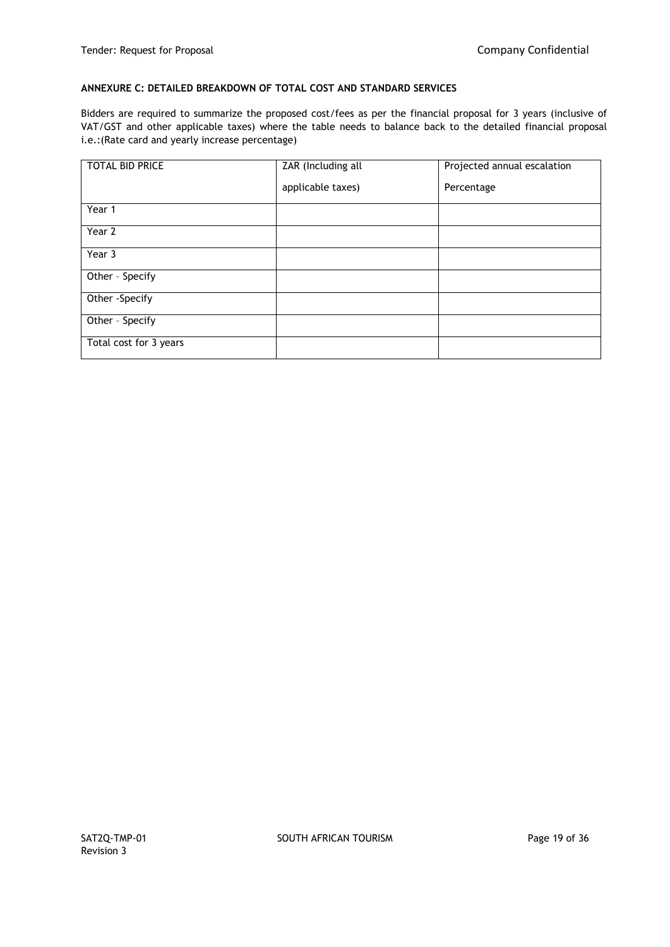## **ANNEXURE C: DETAILED BREAKDOWN OF TOTAL COST AND STANDARD SERVICES**

Bidders are required to summarize the proposed cost/fees as per the financial proposal for 3 years (inclusive of VAT/GST and other applicable taxes) where the table needs to balance back to the detailed financial proposal i.e.:(Rate card and yearly increase percentage)

| TOTAL BID PRICE        | ZAR (Including all | Projected annual escalation |
|------------------------|--------------------|-----------------------------|
|                        | applicable taxes)  | Percentage                  |
| Year 1                 |                    |                             |
| Year 2                 |                    |                             |
| Year 3                 |                    |                             |
| Other - Specify        |                    |                             |
| Other -Specify         |                    |                             |
| Other - Specify        |                    |                             |
| Total cost for 3 years |                    |                             |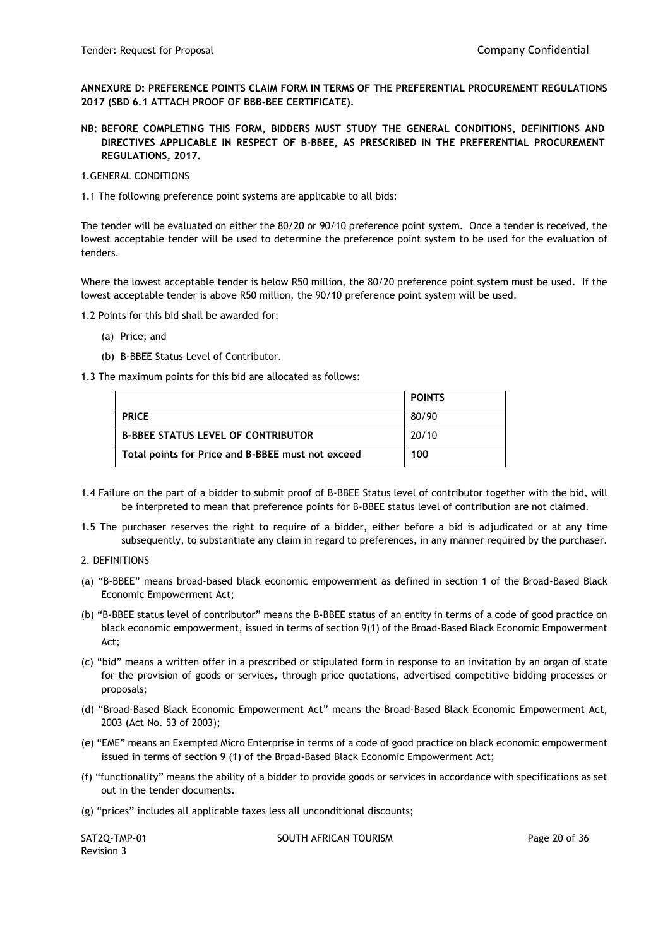**ANNEXURE D: PREFERENCE POINTS CLAIM FORM IN TERMS OF THE PREFERENTIAL PROCUREMENT REGULATIONS 2017 (SBD 6.1 ATTACH PROOF OF BBB-BEE CERTIFICATE).**

- **NB: BEFORE COMPLETING THIS FORM, BIDDERS MUST STUDY THE GENERAL CONDITIONS, DEFINITIONS AND DIRECTIVES APPLICABLE IN RESPECT OF B-BBEE, AS PRESCRIBED IN THE PREFERENTIAL PROCUREMENT REGULATIONS, 2017.**
- 1.GENERAL CONDITIONS
- 1.1 The following preference point systems are applicable to all bids:

The tender will be evaluated on either the 80/20 or 90/10 preference point system. Once a tender is received, the lowest acceptable tender will be used to determine the preference point system to be used for the evaluation of tenders.

Where the lowest acceptable tender is below R50 million, the 80/20 preference point system must be used. If the lowest acceptable tender is above R50 million, the 90/10 preference point system will be used.

1.2 Points for this bid shall be awarded for:

- (a) Price; and
- (b) B-BBEE Status Level of Contributor.

1.3 The maximum points for this bid are allocated as follows:

|                                                   | <b>POINTS</b> |
|---------------------------------------------------|---------------|
| <b>PRICE</b>                                      | 80/90         |
| <b>B-BBEE STATUS LEVEL OF CONTRIBUTOR</b>         | 20/10         |
| Total points for Price and B-BBEE must not exceed | 100           |

- 1.4 Failure on the part of a bidder to submit proof of B-BBEE Status level of contributor together with the bid, will be interpreted to mean that preference points for B-BBEE status level of contribution are not claimed.
- 1.5 The purchaser reserves the right to require of a bidder, either before a bid is adjudicated or at any time subsequently, to substantiate any claim in regard to preferences, in any manner required by the purchaser.
- 2. DEFINITIONS
- (a) "B-BBEE" means broad-based black economic empowerment as defined in section 1 of the Broad-Based Black Economic Empowerment Act;
- (b) "B-BBEE status level of contributor" means the B-BBEE status of an entity in terms of a code of good practice on black economic empowerment, issued in terms of section 9(1) of the Broad-Based Black Economic Empowerment Act;
- (c) "bid" means a written offer in a prescribed or stipulated form in response to an invitation by an organ of state for the provision of goods or services, through price quotations, advertised competitive bidding processes or proposals;
- (d) "Broad-Based Black Economic Empowerment Act" means the Broad-Based Black Economic Empowerment Act, 2003 (Act No. 53 of 2003);
- (e) "EME" means an Exempted Micro Enterprise in terms of a code of good practice on black economic empowerment issued in terms of section 9 (1) of the Broad-Based Black Economic Empowerment Act;
- (f) "functionality" means the ability of a bidder to provide goods or services in accordance with specifications as set out in the tender documents.
- (g) "prices" includes all applicable taxes less all unconditional discounts;

Revision 3

SAT2Q-TMP-01 SOUTH AFRICAN TOURISM SAT2Q-TMP-01 Page 20 of 36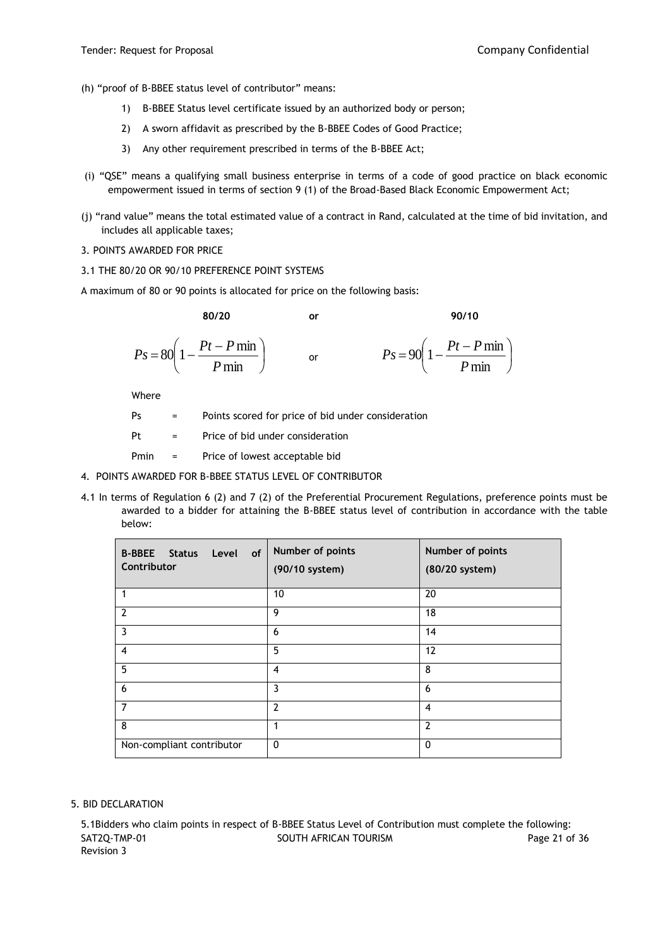- (h) "proof of B-BBEE status level of contributor" means:
	- 1) B-BBEE Status level certificate issued by an authorized body or person;
	- 2) A sworn affidavit as prescribed by the B-BBEE Codes of Good Practice;
	- 3) Any other requirement prescribed in terms of the B-BBEE Act;
- (i) "QSE" means a qualifying small business enterprise in terms of a code of good practice on black economic empowerment issued in terms of section 9 (1) of the Broad-Based Black Economic Empowerment Act;
- (j) "rand value" means the total estimated value of a contract in Rand, calculated at the time of bid invitation, and includes all applicable taxes;
- 3. POINTS AWARDED FOR PRICE
- 3.1 THE 80/20 OR 90/10 PREFERENCE POINT SYSTEMS

A maximum of 80 or 90 points is allocated for price on the following basis:

**80/20 or 90/10**

| $Ps = 80$ | $Pt-P$ min | $Pt-P$ min<br>$Ps = 90$ |
|-----------|------------|-------------------------|
|           | $P\,$ mın  | $\bm{\nu}$ mın          |

Where

| Ps |  |  |  |  |  |  |  |  | Points scored for price of bid under consideration |  |
|----|--|--|--|--|--|--|--|--|----------------------------------------------------|--|
|----|--|--|--|--|--|--|--|--|----------------------------------------------------|--|

Pt = Price of bid under consideration

- Pmin = Price of lowest acceptable bid
- 4. POINTS AWARDED FOR B-BBEE STATUS LEVEL OF CONTRIBUTOR
- 4.1 In terms of Regulation 6 (2) and 7 (2) of the Preferential Procurement Regulations, preference points must be awarded to a bidder for attaining the B-BBEE status level of contribution in accordance with the table below:

| <b>B-BBEE</b><br>of<br>Level<br><b>Status</b><br>Contributor | Number of points<br>(90/10 system) | Number of points<br>(80/20 system) |
|--------------------------------------------------------------|------------------------------------|------------------------------------|
|                                                              | 10                                 | 20                                 |
| $\overline{2}$                                               | 9                                  | 18                                 |
| $\overline{3}$                                               | 6                                  | 14                                 |
| $\overline{4}$                                               | 5                                  | 12                                 |
| 5                                                            | $\overline{4}$                     | 8                                  |
| 6                                                            | $\overline{3}$                     | 6                                  |
| $\overline{7}$                                               | $\overline{2}$                     | 4                                  |
| 8                                                            | 1                                  | $\overline{2}$                     |
| Non-compliant contributor                                    | $\mathbf 0$                        | $\mathbf{0}$                       |

## 5. BID DECLARATION

SAT2Q-TMP-01 SOUTH AFRICAN TOURISM SAT2Q-TMP-01 Page 21 of 36 Revision 3 5.1Bidders who claim points in respect of B-BBEE Status Level of Contribution must complete the following: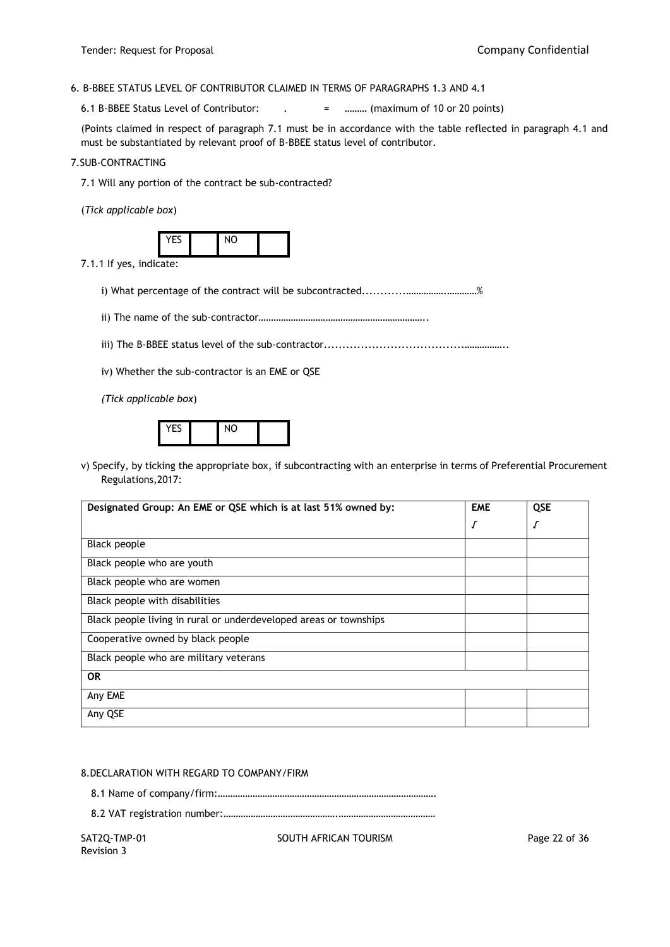## 6. B-BBEE STATUS LEVEL OF CONTRIBUTOR CLAIMED IN TERMS OF PARAGRAPHS 1.3 AND 4.1

6.1 B-BBEE Status Level of Contributor: . = ……… (maximum of 10 or 20 points)

(Points claimed in respect of paragraph 7.1 must be in accordance with the table reflected in paragraph 4.1 and must be substantiated by relevant proof of B-BBEE status level of contributor.

#### 7.SUB-CONTRACTING

7.1 Will any portion of the contract be sub-contracted?

(*Tick applicable box*)

7.1.1 If yes, indicate:

i) What percentage of the contract will be subcontracted............…………….…………%

ii) The name of the sub-contractor…………………………………………………………..

iii) The B-BBEE status level of the sub-contractor......................................……………..

iv) Whether the sub-contractor is an EME or QSE

*(Tick applicable box*)

|  | $V = C$ |  | $\mathsf{N} \cap$ |  |
|--|---------|--|-------------------|--|
|--|---------|--|-------------------|--|

v) Specify, by ticking the appropriate box, if subcontracting with an enterprise in terms of Preferential Procurement Regulations,2017:

| Designated Group: An EME or QSE which is at last 51% owned by:    | <b>EME</b> | QSE        |  |
|-------------------------------------------------------------------|------------|------------|--|
|                                                                   | Г          | $\sqrt{ }$ |  |
| Black people                                                      |            |            |  |
| Black people who are youth                                        |            |            |  |
| Black people who are women                                        |            |            |  |
| Black people with disabilities                                    |            |            |  |
| Black people living in rural or underdeveloped areas or townships |            |            |  |
| Cooperative owned by black people                                 |            |            |  |
| Black people who are military veterans                            |            |            |  |
| <b>OR</b>                                                         |            |            |  |
| Any EME                                                           |            |            |  |
| Any QSE                                                           |            |            |  |

8.DECLARATION WITH REGARD TO COMPANY/FIRM

8.1 Name of company/firm:…………………………………………………………………………….

8.2 VAT registration number:……………………………………….…………………………………

SAT2Q-TMP-01 SOUTH AFRICAN TOURISM SAT2Q-TMP-01 Page 22 of 36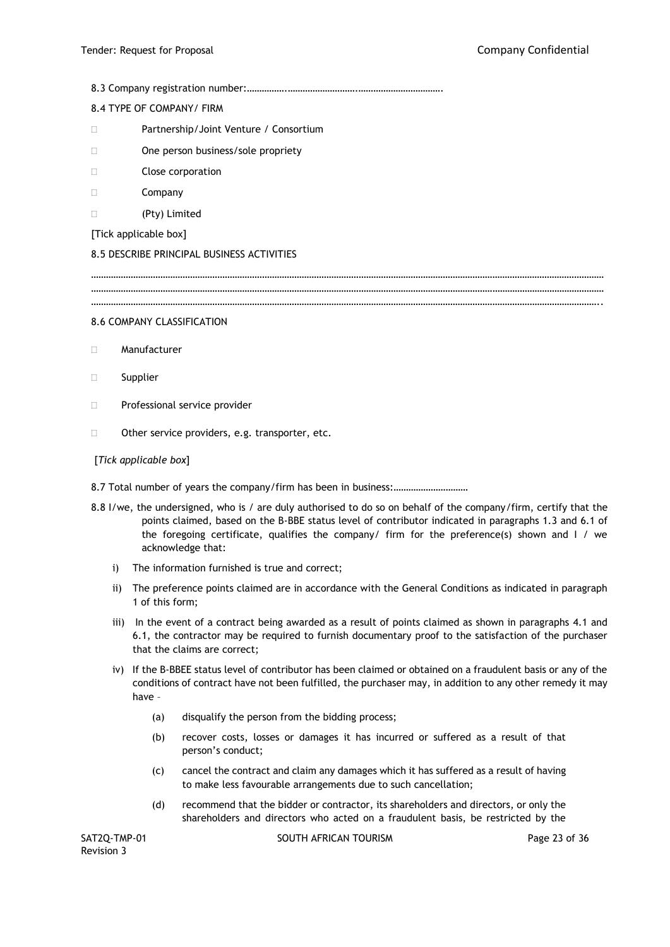8.3 Company registration number:…………….……………………….…………………………….

# 8.4 TYPE OF COMPANY/ FIRM

- Partnership/Joint Venture / Consortium
- □ One person business/sole propriety
- Close corporation
- $\square$  Company
- (Pty) Limited
- [Tick applicable box]

# 8.5 DESCRIBE PRINCIPAL BUSINESS ACTIVITIES

……………………………………………………………………………………………………………………………………………………………………………………… ……………………………………………………………………………………………………………………………………………………………………………………… ……………………………………………………………………………………………………………………………………………………………………………………..

## 8.6 COMPANY CLASSIFICATION

- Manufacturer
- Supplier
- D Professional service provider
- □ Other service providers, e.g. transporter, etc.

# [*Tick applicable box*]

- 8.7 Total number of years the company/firm has been in business:…………………………
- 8.8 I/we, the undersigned, who is / are duly authorised to do so on behalf of the company/firm, certify that the points claimed, based on the B-BBE status level of contributor indicated in paragraphs 1.3 and 6.1 of the foregoing certificate, qualifies the company/ firm for the preference(s) shown and I / we acknowledge that:
	- i) The information furnished is true and correct;
	- ii) The preference points claimed are in accordance with the General Conditions as indicated in paragraph 1 of this form;
	- iii) In the event of a contract being awarded as a result of points claimed as shown in paragraphs 4.1 and 6.1, the contractor may be required to furnish documentary proof to the satisfaction of the purchaser that the claims are correct;
	- iv) If the B-BBEE status level of contributor has been claimed or obtained on a fraudulent basis or any of the conditions of contract have not been fulfilled, the purchaser may, in addition to any other remedy it may have –
		- (a) disqualify the person from the bidding process;
		- (b) recover costs, losses or damages it has incurred or suffered as a result of that person's conduct;
		- (c) cancel the contract and claim any damages which it has suffered as a result of having to make less favourable arrangements due to such cancellation;
		- (d) recommend that the bidder or contractor, its shareholders and directors, or only the shareholders and directors who acted on a fraudulent basis, be restricted by the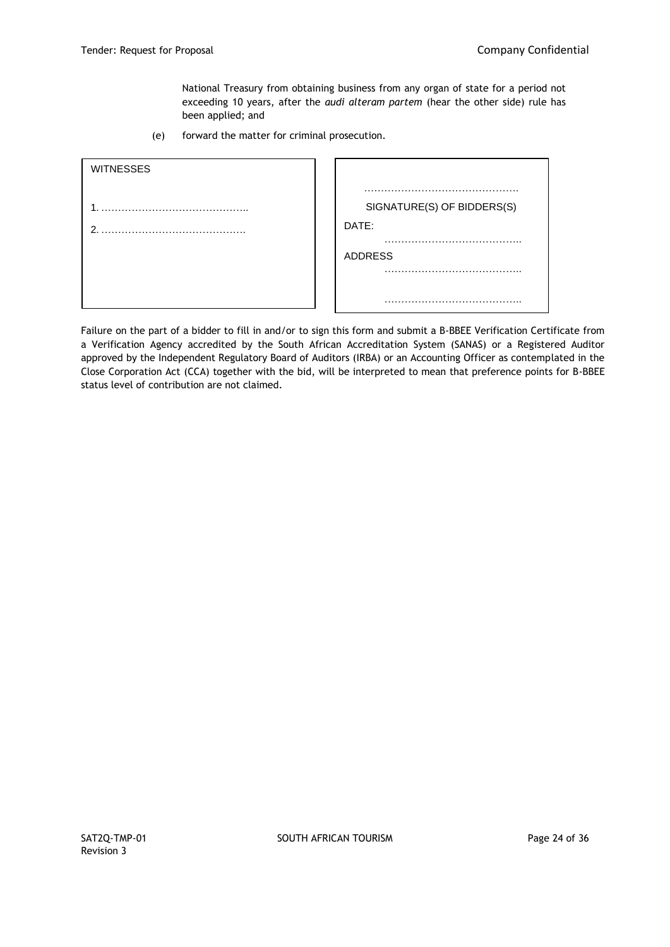National Treasury from obtaining business from any organ of state for a period not exceeding 10 years, after the *audi alteram partem* (hear the other side) rule has been applied; and

(e) forward the matter for criminal prosecution.

| <b>WITNESSES</b> |                            |
|------------------|----------------------------|
|                  | . .                        |
|                  | SIGNATURE(S) OF BIDDERS(S) |
| ⌒                | DATE:                      |
|                  |                            |
|                  | <b>ADDRESS</b>             |
|                  |                            |
|                  |                            |
|                  |                            |

Failure on the part of a bidder to fill in and/or to sign this form and submit a B-BBEE Verification Certificate from a Verification Agency accredited by the South African Accreditation System (SANAS) or a Registered Auditor approved by the Independent Regulatory Board of Auditors (IRBA) or an Accounting Officer as contemplated in the Close Corporation Act (CCA) together with the bid, will be interpreted to mean that preference points for B-BBEE status level of contribution are not claimed.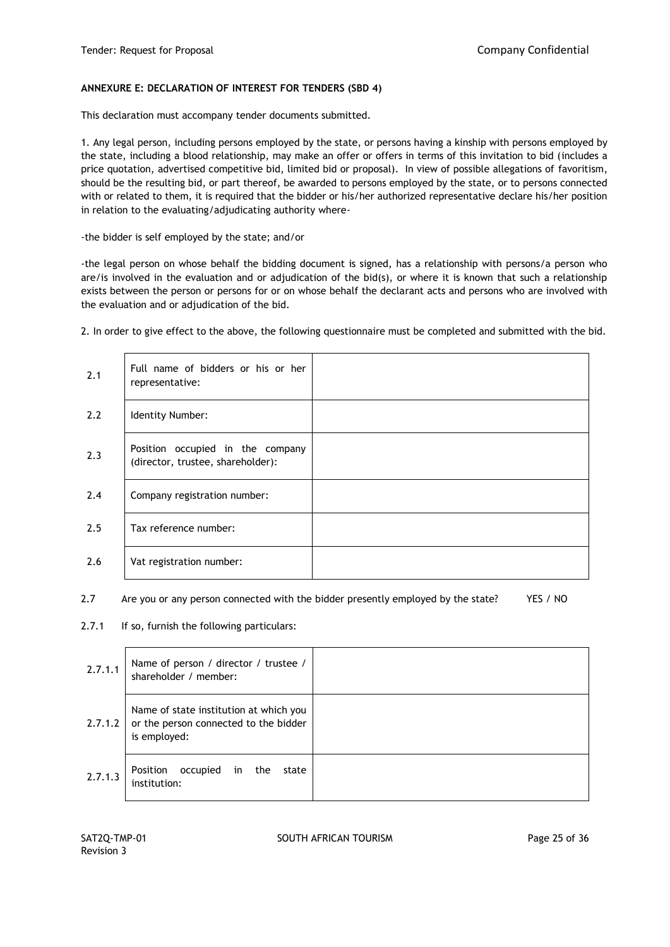## **ANNEXURE E: DECLARATION OF INTEREST FOR TENDERS (SBD 4)**

This declaration must accompany tender documents submitted.

1. Any legal person, including persons employed by the state, or persons having a kinship with persons employed by the state, including a blood relationship, may make an offer or offers in terms of this invitation to bid (includes a price quotation, advertised competitive bid, limited bid or proposal). In view of possible allegations of favoritism, should be the resulting bid, or part thereof, be awarded to persons employed by the state, or to persons connected with or related to them, it is required that the bidder or his/her authorized representative declare his/her position in relation to the evaluating/adjudicating authority where-

-the bidder is self employed by the state; and/or

-the legal person on whose behalf the bidding document is signed, has a relationship with persons/a person who are/is involved in the evaluation and or adjudication of the bid(s), or where it is known that such a relationship exists between the person or persons for or on whose behalf the declarant acts and persons who are involved with the evaluation and or adjudication of the bid.

2. In order to give effect to the above, the following questionnaire must be completed and submitted with the bid.

| 2.1 | Full name of bidders or his or her<br>representative:                 |  |
|-----|-----------------------------------------------------------------------|--|
| 2.2 | Identity Number:                                                      |  |
| 2.3 | Position occupied in the company<br>(director, trustee, shareholder): |  |
| 2.4 | Company registration number:                                          |  |
| 2.5 | Tax reference number:                                                 |  |
| 2.6 | Vat registration number:                                              |  |

2.7 Are you or any person connected with the bidder presently employed by the state? YES / NO

2.7.1 If so, furnish the following particulars:

| 2.7.1.1 | Name of person / director / trustee /<br>shareholder / member:                                  |  |
|---------|-------------------------------------------------------------------------------------------------|--|
| 2.7.1.2 | Name of state institution at which you<br>or the person connected to the bidder<br>is employed: |  |
| 2.7.1.3 | Position<br>occupied<br>in the<br>state<br>institution:                                         |  |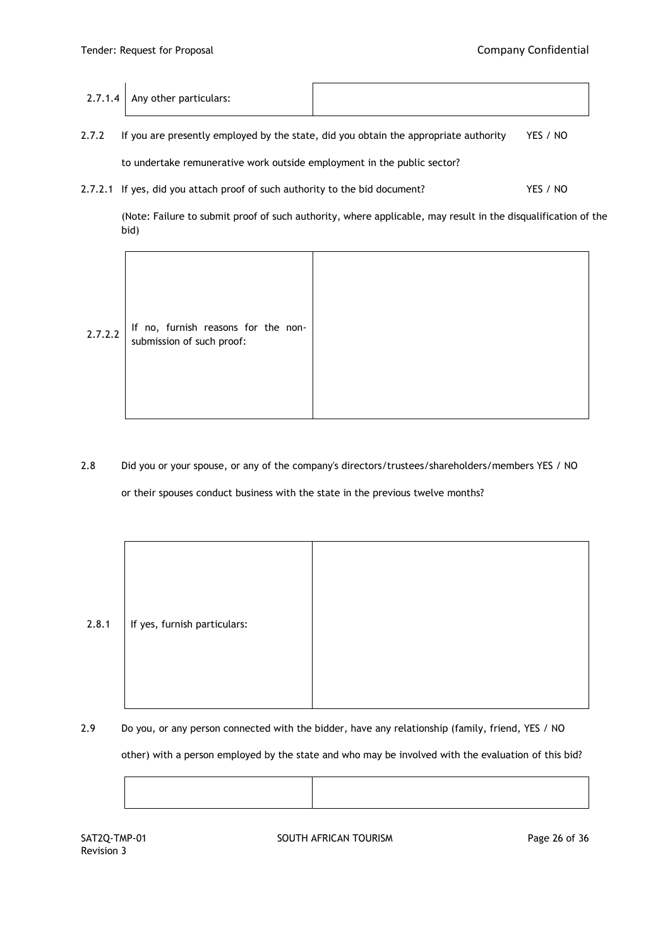| $2.7.1.4$ Any other particulars: |  |
|----------------------------------|--|
|                                  |  |

- 2.7.2 If you are presently employed by the state, did you obtain the appropriate authority YES / NO to undertake remunerative work outside employment in the public sector?
- 2.7.2.1 If yes, did you attach proof of such authority to the bid document? YES / NO

(Note: Failure to submit proof of such authority, where applicable, may result in the disqualification of the bid)

| 2.7.2.2 | If no, furnish reasons for the non-<br>submission of such proof: |  |
|---------|------------------------------------------------------------------|--|
|---------|------------------------------------------------------------------|--|

2.8 Did you or your spouse, or any of the company's directors/trustees/shareholders/members YES / NO

or their spouses conduct business with the state in the previous twelve months?

| 2.8.1 | If yes, furnish particulars: |  |
|-------|------------------------------|--|
|       |                              |  |

2.9 Do you, or any person connected with the bidder, have any relationship (family, friend, YES / NO

other) with a person employed by the state and who may be involved with the evaluation of this bid?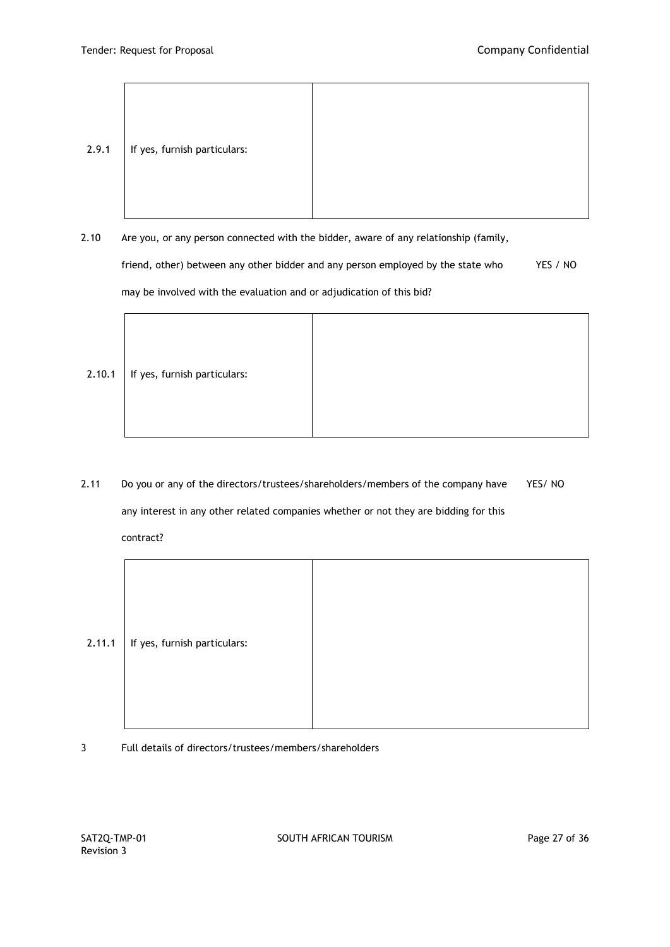| 2.9.1 | If yes, furnish particulars: |  |
|-------|------------------------------|--|

2.10 Are you, or any person connected with the bidder, aware of any relationship (family, friend, other) between any other bidder and any person employed by the state who YES / NO may be involved with the evaluation and or adjudication of this bid?

2.10.1 | If yes, furnish particulars:

2.11 Do you or any of the directors/trustees/shareholders/members of the company have YES/ NO any interest in any other related companies whether or not they are bidding for this contract?

| 2.11.1 | If yes, furnish particulars: |  |
|--------|------------------------------|--|
|        |                              |  |
|        |                              |  |
|        |                              |  |
|        |                              |  |

3 Full details of directors/trustees/members/shareholders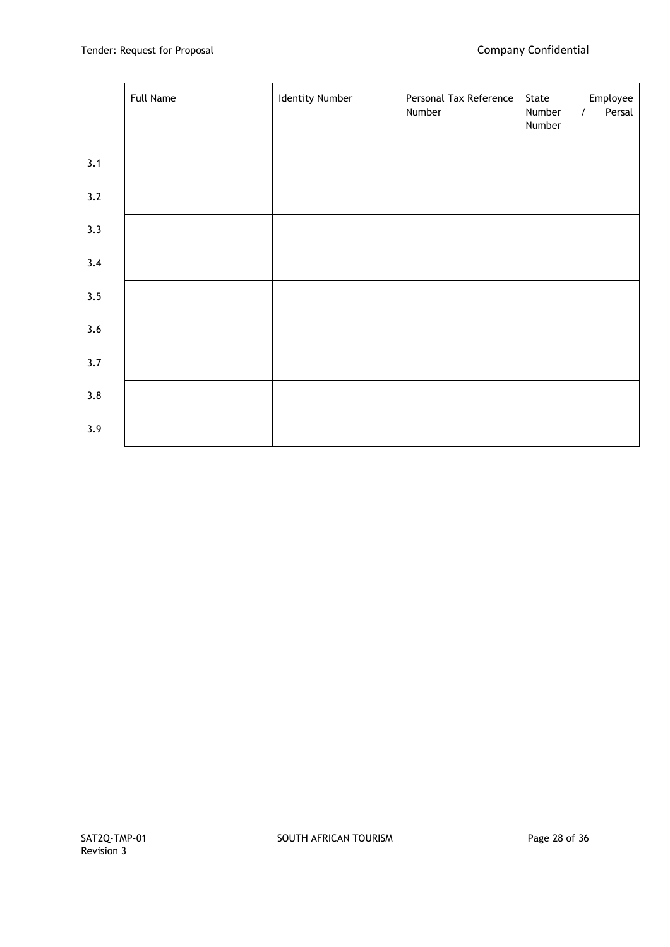|     | <b>Full Name</b> | <b>Identity Number</b> | Personal Tax Reference<br>Number | Employee<br>State<br>Persal<br>Number<br>$\sqrt{2}$<br>Number |  |
|-----|------------------|------------------------|----------------------------------|---------------------------------------------------------------|--|
| 3.1 |                  |                        |                                  |                                                               |  |
| 3.2 |                  |                        |                                  |                                                               |  |
| 3.3 |                  |                        |                                  |                                                               |  |
| 3.4 |                  |                        |                                  |                                                               |  |
| 3.5 |                  |                        |                                  |                                                               |  |
| 3.6 |                  |                        |                                  |                                                               |  |
| 3.7 |                  |                        |                                  |                                                               |  |
| 3.8 |                  |                        |                                  |                                                               |  |
| 3.9 |                  |                        |                                  |                                                               |  |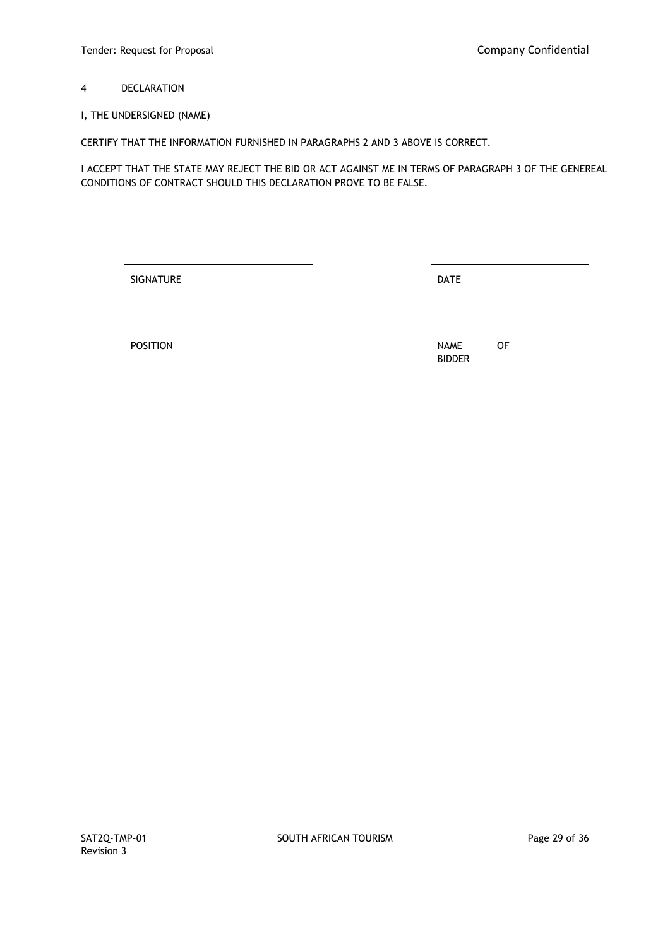4 DECLARATION

I, THE UNDERSIGNED (NAME)

CERTIFY THAT THE INFORMATION FURNISHED IN PARAGRAPHS 2 AND 3 ABOVE IS CORRECT.

I ACCEPT THAT THE STATE MAY REJECT THE BID OR ACT AGAINST ME IN TERMS OF PARAGRAPH 3 OF THE GENEREAL CONDITIONS OF CONTRACT SHOULD THIS DECLARATION PROVE TO BE FALSE.

SIGNATURE DATE

POSITION OF BIDDER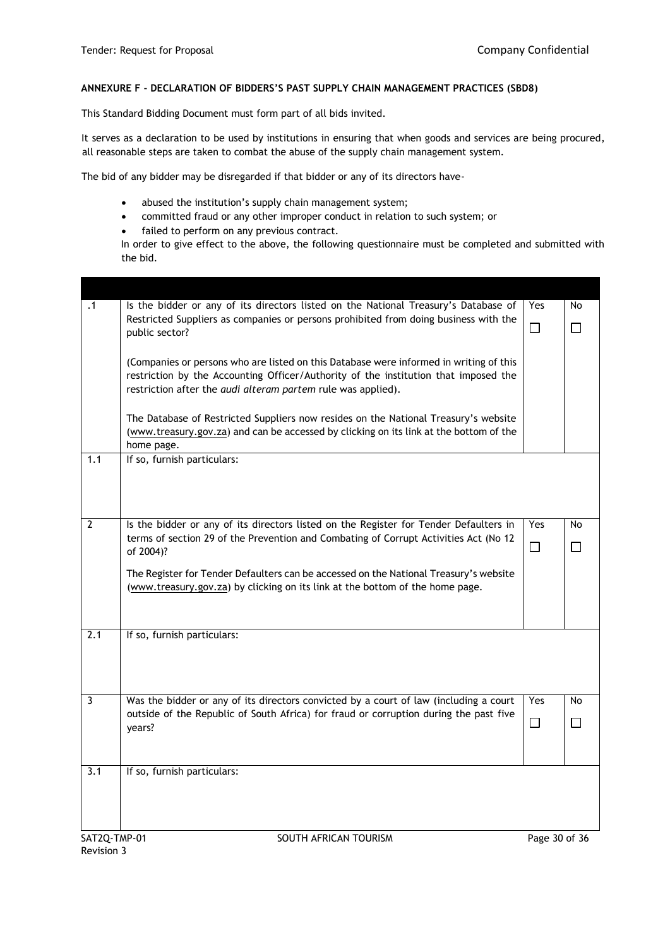## **ANNEXURE F - DECLARATION OF BIDDERS'S PAST SUPPLY CHAIN MANAGEMENT PRACTICES (SBD8)**

This Standard Bidding Document must form part of all bids invited.

It serves as a declaration to be used by institutions in ensuring that when goods and services are being procured, all reasonable steps are taken to combat the abuse of the supply chain management system.

The bid of any bidder may be disregarded if that bidder or any of its directors have-

- abused the institution's supply chain management system;
- committed fraud or any other improper conduct in relation to such system; or
- failed to perform on any previous contract.

In order to give effect to the above, the following questionnaire must be completed and submitted with the bid.

| $\cdot$ 1               | Is the bidder or any of its directors listed on the National Treasury's Database of                                                                                                                                                                  | Yes           | No        |
|-------------------------|------------------------------------------------------------------------------------------------------------------------------------------------------------------------------------------------------------------------------------------------------|---------------|-----------|
|                         | Restricted Suppliers as companies or persons prohibited from doing business with the<br>public sector?                                                                                                                                               | $\Box$        | $\Box$    |
|                         | (Companies or persons who are listed on this Database were informed in writing of this<br>restriction by the Accounting Officer/Authority of the institution that imposed the<br>restriction after the <i>audi alteram partem</i> rule was applied). |               |           |
|                         | The Database of Restricted Suppliers now resides on the National Treasury's website<br>(www.treasury.gov.za) and can be accessed by clicking on its link at the bottom of the<br>home page.                                                          |               |           |
| 1.1                     | If so, furnish particulars:                                                                                                                                                                                                                          |               |           |
| $\overline{2}$          | Is the bidder or any of its directors listed on the Register for Tender Defaulters in                                                                                                                                                                | Yes           | No        |
|                         | terms of section 29 of the Prevention and Combating of Corrupt Activities Act (No 12<br>of 2004)?                                                                                                                                                    | $\Box$        | $\Box$    |
|                         | The Register for Tender Defaulters can be accessed on the National Treasury's website<br>(www.treasury.gov.za) by clicking on its link at the bottom of the home page.                                                                               |               |           |
| 2.1                     | If so, furnish particulars:                                                                                                                                                                                                                          |               |           |
|                         |                                                                                                                                                                                                                                                      |               |           |
| $\overline{\mathbf{3}}$ | Was the bidder or any of its directors convicted by a court of law (including a court<br>outside of the Republic of South Africa) for fraud or corruption during the past five                                                                       | Yes           | <b>No</b> |
|                         | years?                                                                                                                                                                                                                                               | $\Box$        | $\Box$    |
| 3.1                     | If so, furnish particulars:                                                                                                                                                                                                                          |               |           |
| SAT2Q-TMP-01            | SOUTH AFRICAN TOURISM                                                                                                                                                                                                                                | Page 30 of 36 |           |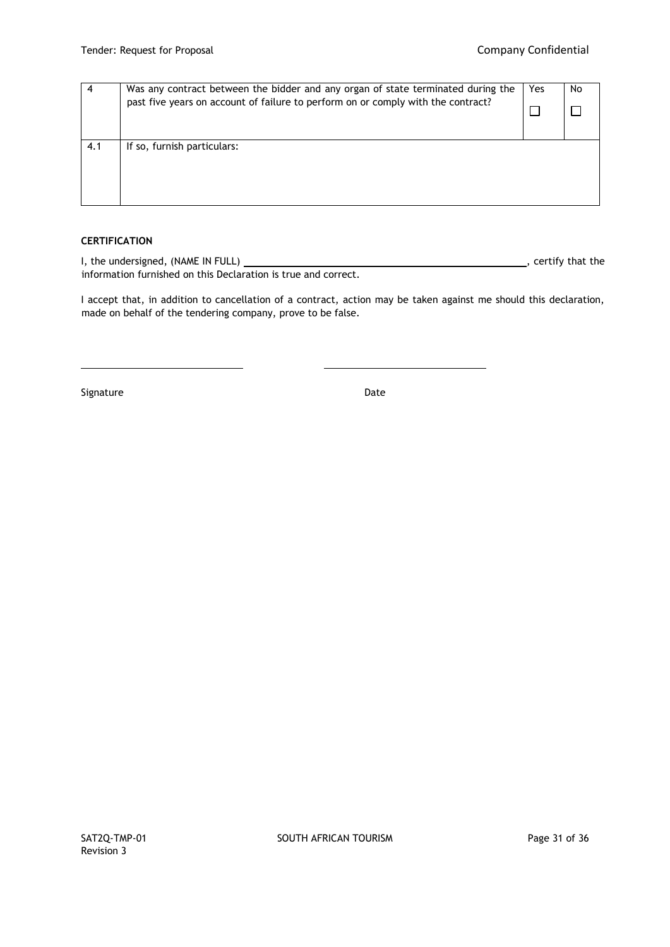| 4   | Was any contract between the bidder and any organ of state terminated during the<br>past five years on account of failure to perform on or comply with the contract? | Yes | No |
|-----|----------------------------------------------------------------------------------------------------------------------------------------------------------------------|-----|----|
| 4.1 | If so, furnish particulars:                                                                                                                                          |     |    |

# **CERTIFICATION**

I, the undersigned, (NAME IN FULL) , certify that the information furnished on this Declaration is true and correct.

I accept that, in addition to cancellation of a contract, action may be taken against me should this declaration, made on behalf of the tendering company, prove to be false.

Signature Date Date Date Date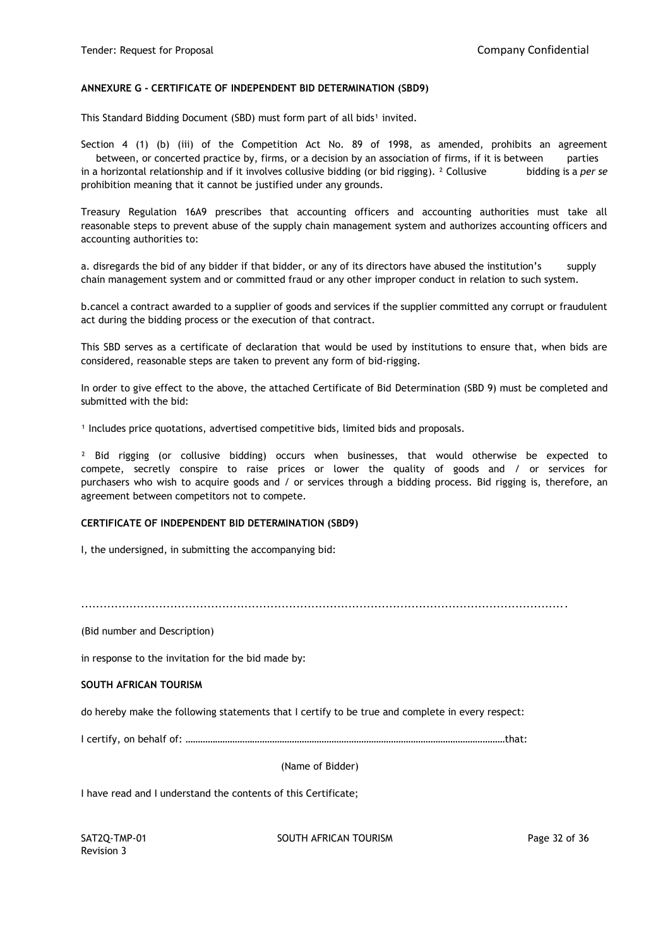### **ANNEXURE G - CERTIFICATE OF INDEPENDENT BID DETERMINATION (SBD9)**

This Standard Bidding Document (SBD) must form part of all bids<sup>1</sup> invited.

Section 4 (1) (b) (iii) of the Competition Act No. 89 of 1998, as amended, prohibits an agreement between, or concerted practice by, firms, or a decision by an association of firms, if it is between parties in a horizontal relationship and if it involves collusive bidding (or bid rigging). ² Collusive bidding is a *per se*  prohibition meaning that it cannot be justified under any grounds.

Treasury Regulation 16A9 prescribes that accounting officers and accounting authorities must take all reasonable steps to prevent abuse of the supply chain management system and authorizes accounting officers and accounting authorities to:

a. disregards the bid of any bidder if that bidder, or any of its directors have abused the institution's supply chain management system and or committed fraud or any other improper conduct in relation to such system.

b.cancel a contract awarded to a supplier of goods and services if the supplier committed any corrupt or fraudulent act during the bidding process or the execution of that contract.

This SBD serves as a certificate of declaration that would be used by institutions to ensure that, when bids are considered, reasonable steps are taken to prevent any form of bid-rigging.

In order to give effect to the above, the attached Certificate of Bid Determination (SBD 9) must be completed and submitted with the bid:

<sup>1</sup> Includes price quotations, advertised competitive bids, limited bids and proposals.

<sup>2</sup> Bid rigging (or collusive bidding) occurs when businesses, that would otherwise be expected to compete, secretly conspire to raise prices or lower the quality of goods and / or services for purchasers who wish to acquire goods and / or services through a bidding process. Bid rigging is, therefore, an agreement between competitors not to compete.

#### **CERTIFICATE OF INDEPENDENT BID DETERMINATION (SBD9)**

I, the undersigned, in submitting the accompanying bid:

...................................................................................................................................

(Bid number and Description)

in response to the invitation for the bid made by:

#### **SOUTH AFRICAN TOURISM**

do hereby make the following statements that I certify to be true and complete in every respect:

I certify, on behalf of: …………………………………………………………………………………………………………………that:

(Name of Bidder)

I have read and I understand the contents of this Certificate;

Revision 3

SAT2Q-TMP-01 SOUTH AFRICAN TOURISM SAT2Q-TMP-01 Page 32 of 36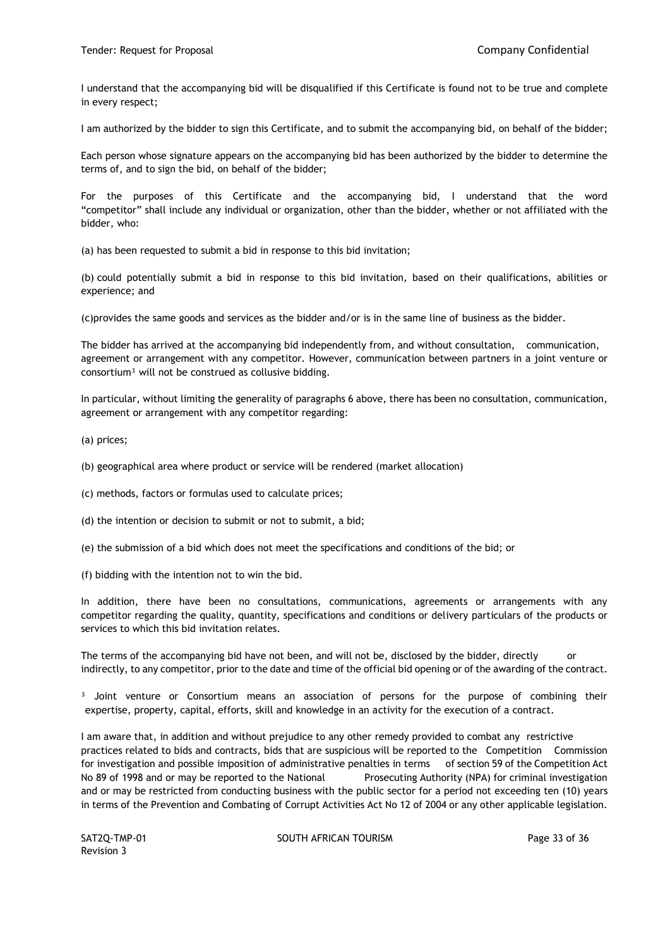I understand that the accompanying bid will be disqualified if this Certificate is found not to be true and complete in every respect;

I am authorized by the bidder to sign this Certificate, and to submit the accompanying bid, on behalf of the bidder;

Each person whose signature appears on the accompanying bid has been authorized by the bidder to determine the terms of, and to sign the bid, on behalf of the bidder;

For the purposes of this Certificate and the accompanying bid, I understand that the word "competitor" shall include any individual or organization, other than the bidder, whether or not affiliated with the bidder, who:

(a) has been requested to submit a bid in response to this bid invitation;

(b) could potentially submit a bid in response to this bid invitation, based on their qualifications, abilities or experience; and

(c)provides the same goods and services as the bidder and/or is in the same line of business as the bidder.

The bidder has arrived at the accompanying bid independently from, and without consultation, communication, agreement or arrangement with any competitor. However, communication between partners in a joint venture or consortium<sup>3</sup> will not be construed as collusive bidding.

In particular, without limiting the generality of paragraphs 6 above, there has been no consultation, communication, agreement or arrangement with any competitor regarding:

(a) prices;

(b) geographical area where product or service will be rendered (market allocation)

(c) methods, factors or formulas used to calculate prices;

(d) the intention or decision to submit or not to submit, a bid;

(e) the submission of a bid which does not meet the specifications and conditions of the bid; or

(f) bidding with the intention not to win the bid.

In addition, there have been no consultations, communications, agreements or arrangements with any competitor regarding the quality, quantity, specifications and conditions or delivery particulars of the products or services to which this bid invitation relates.

The terms of the accompanying bid have not been, and will not be, disclosed by the bidder, directly indirectly, to any competitor, prior to the date and time of the official bid opening or of the awarding of the contract.

<sup>3</sup> Joint venture or Consortium means an association of persons for the purpose of combining their expertise, property, capital, efforts, skill and knowledge in an activity for the execution of a contract.

I am aware that, in addition and without prejudice to any other remedy provided to combat any restrictive practices related to bids and contracts, bids that are suspicious will be reported to the Competition Commission for investigation and possible imposition of administrative penalties in terms of section 59 of the Competition Act No 89 of 1998 and or may be reported to the National Prosecuting Authority (NPA) for criminal investigation and or may be restricted from conducting business with the public sector for a period not exceeding ten (10) years in terms of the Prevention and Combating of Corrupt Activities Act No 12 of 2004 or any other applicable legislation.

Revision 3

SAT2Q-TMP-01 SOUTH AFRICAN TOURISM SAT2Q-TMP-01 Page 33 of 36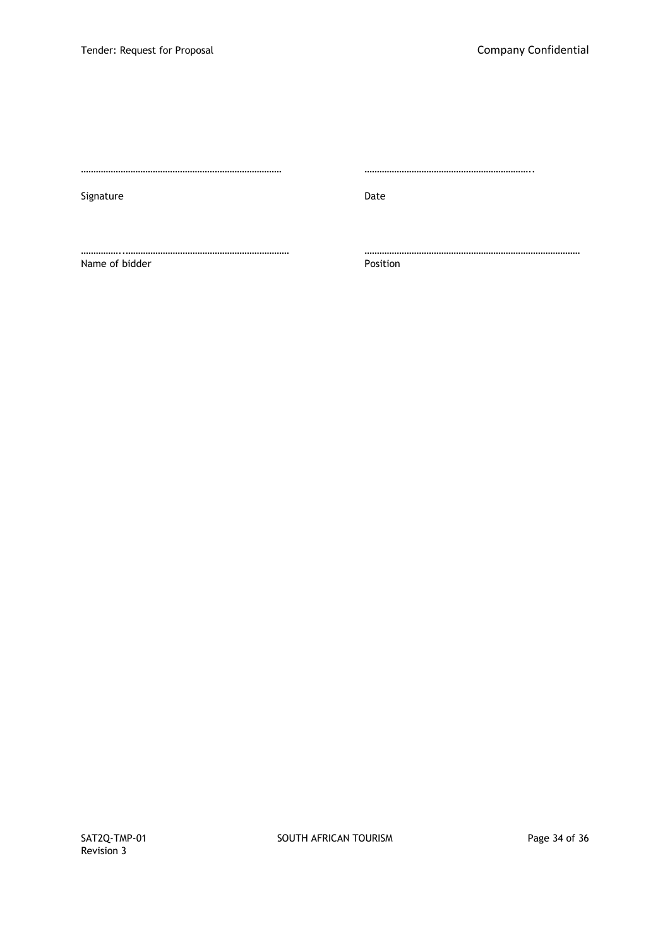Signature Date Date Date Date

……………………………………………………………………… …………………………………………………………..

……………..………………………………………………………… …………………………………………………………………………… Name of bidder **Position**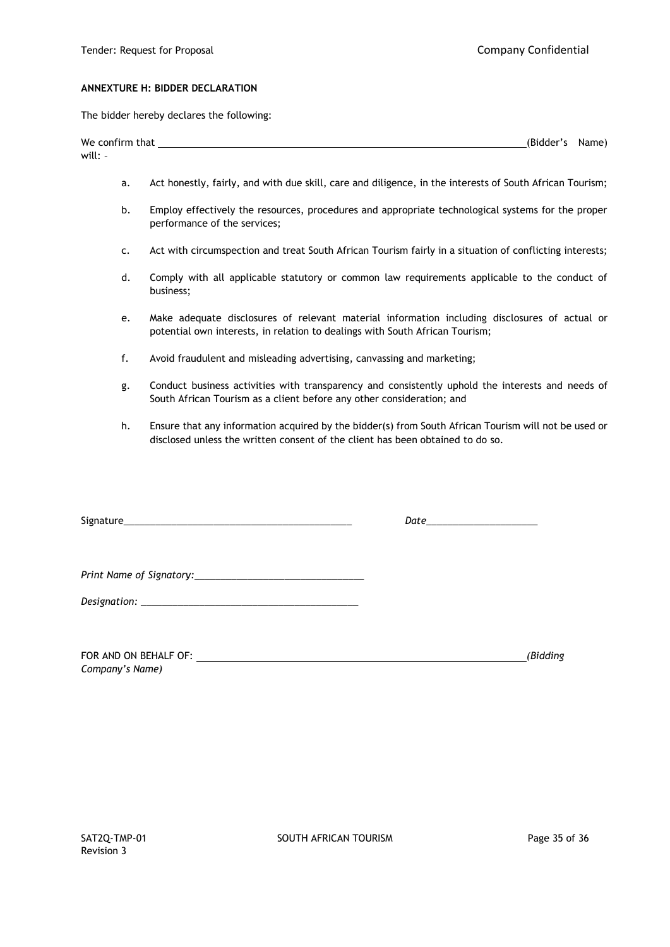#### **ANNEXTURE H: BIDDER DECLARATION**

The bidder hereby declares the following:

| We confirm that | (Bidder's | Name) |
|-----------------|-----------|-------|
| will:           |           |       |

- a. Act honestly, fairly, and with due skill, care and diligence, in the interests of South African Tourism;
- b. Employ effectively the resources, procedures and appropriate technological systems for the proper performance of the services;
- c. Act with circumspection and treat South African Tourism fairly in a situation of conflicting interests;
- d. Comply with all applicable statutory or common law requirements applicable to the conduct of business;
- e. Make adequate disclosures of relevant material information including disclosures of actual or potential own interests, in relation to dealings with South African Tourism;
- f. Avoid fraudulent and misleading advertising, canvassing and marketing;
- g. Conduct business activities with transparency and consistently uphold the interests and needs of South African Tourism as a client before any other consideration; and
- h. Ensure that any information acquired by the bidder(s) from South African Tourism will not be used or disclosed unless the written consent of the client has been obtained to do so.

|                 | Date________________________ |          |
|-----------------|------------------------------|----------|
|                 |                              |          |
|                 |                              |          |
|                 |                              |          |
| Company's Name) |                              | (Bidding |